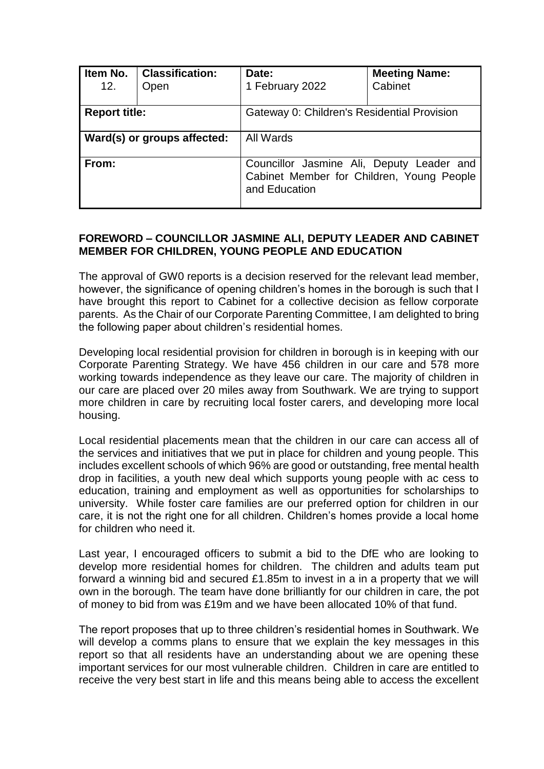| Item No.<br>12.      | <b>Classification:</b><br>Open | Date:<br>1 February 2022                                                                                | <b>Meeting Name:</b><br>Cabinet |  |  |  |
|----------------------|--------------------------------|---------------------------------------------------------------------------------------------------------|---------------------------------|--|--|--|
| <b>Report title:</b> |                                | Gateway 0: Children's Residential Provision                                                             |                                 |  |  |  |
|                      | Ward(s) or groups affected:    | All Wards                                                                                               |                                 |  |  |  |
| From:                |                                | Councillor Jasmine Ali, Deputy Leader and<br>Cabinet Member for Children, Young People<br>and Education |                                 |  |  |  |

### **FOREWORD – COUNCILLOR JASMINE ALI, DEPUTY LEADER AND CABINET MEMBER FOR CHILDREN, YOUNG PEOPLE AND EDUCATION**

The approval of GW0 reports is a decision reserved for the relevant lead member, however, the significance of opening children's homes in the borough is such that I have brought this report to Cabinet for a collective decision as fellow corporate parents. As the Chair of our Corporate Parenting Committee, I am delighted to bring the following paper about children's residential homes.

Developing local residential provision for children in borough is in keeping with our Corporate Parenting Strategy. We have 456 children in our care and 578 more working towards independence as they leave our care. The majority of children in our care are placed over 20 miles away from Southwark. We are trying to support more children in care by recruiting local foster carers, and developing more local housing.

Local residential placements mean that the children in our care can access all of the services and initiatives that we put in place for children and young people. This includes excellent schools of which 96% are good or outstanding, free mental health drop in facilities, a youth new deal which supports young people with ac cess to education, training and employment as well as opportunities for scholarships to university. While foster care families are our preferred option for children in our care, it is not the right one for all children. Children's homes provide a local home for children who need it.

Last year, I encouraged officers to submit a bid to the DfE who are looking to develop more residential homes for children. The children and adults team put forward a winning bid and secured £1.85m to invest in a in a property that we will own in the borough. The team have done brilliantly for our children in care, the pot of money to bid from was £19m and we have been allocated 10% of that fund.

The report proposes that up to three children's residential homes in Southwark. We will develop a comms plans to ensure that we explain the key messages in this report so that all residents have an understanding about we are opening these important services for our most vulnerable children. Children in care are entitled to receive the very best start in life and this means being able to access the excellent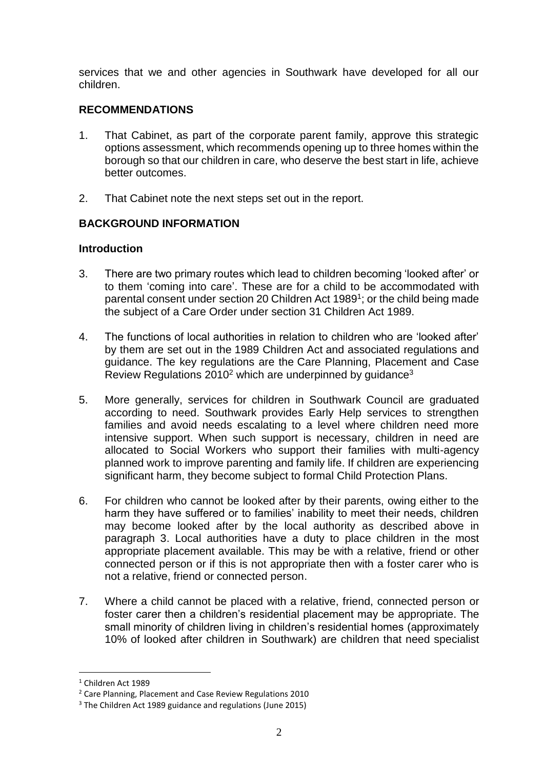services that we and other agencies in Southwark have developed for all our children.

### **RECOMMENDATIONS**

- 1. That Cabinet, as part of the corporate parent family, approve this strategic options assessment, which recommends opening up to three homes within the borough so that our children in care, who deserve the best start in life, achieve better outcomes.
- 2. That Cabinet note the next steps set out in the report.

### **BACKGROUND INFORMATION**

### **Introduction**

- 3. There are two primary routes which lead to children becoming 'looked after' or to them 'coming into care'. These are for a child to be accommodated with parental consent under section 20 Children Act 1989<sup>1</sup>; or the child being made the subject of a Care Order under section 31 Children Act 1989.
- 4. The functions of local authorities in relation to children who are 'looked after' by them are set out in the 1989 Children Act and associated regulations and guidance. The key regulations are the Care Planning, Placement and Case Review Regulations  $2010^2$  which are underpinned by guidance<sup>3</sup>
- 5. More generally, services for children in Southwark Council are graduated according to need. Southwark provides Early Help services to strengthen families and avoid needs escalating to a level where children need more intensive support. When such support is necessary, children in need are allocated to Social Workers who support their families with multi-agency planned work to improve parenting and family life. If children are experiencing significant harm, they become subject to formal Child Protection Plans.
- 6. For children who cannot be looked after by their parents, owing either to the harm they have suffered or to families' inability to meet their needs, children may become looked after by the local authority as described above in paragraph 3. Local authorities have a duty to place children in the most appropriate placement available. This may be with a relative, friend or other connected person or if this is not appropriate then with a foster carer who is not a relative, friend or connected person.
- 7. Where a child cannot be placed with a relative, friend, connected person or foster carer then a children's residential placement may be appropriate. The small minority of children living in children's residential homes (approximately 10% of looked after children in Southwark) are children that need specialist

<sup>&</sup>lt;sup>1</sup> Children Act 1989

<sup>2</sup> Care Planning, Placement and Case Review Regulations 2010

<sup>3</sup> The Children Act 1989 guidance and regulations (June 2015)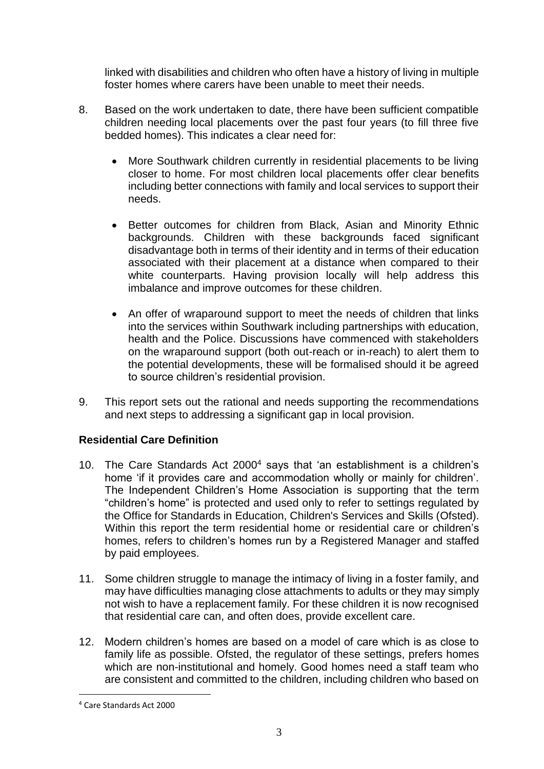linked with disabilities and children who often have a history of living in multiple foster homes where carers have been unable to meet their needs.

- 8. Based on the work undertaken to date, there have been sufficient compatible children needing local placements over the past four years (to fill three five bedded homes). This indicates a clear need for:
	- More Southwark children currently in residential placements to be living closer to home. For most children local placements offer clear benefits including better connections with family and local services to support their needs.
	- Better outcomes for children from Black, Asian and Minority Ethnic backgrounds. Children with these backgrounds faced significant disadvantage both in terms of their identity and in terms of their education associated with their placement at a distance when compared to their white counterparts. Having provision locally will help address this imbalance and improve outcomes for these children.
	- An offer of wraparound support to meet the needs of children that links into the services within Southwark including partnerships with education, health and the Police. Discussions have commenced with stakeholders on the wraparound support (both out-reach or in-reach) to alert them to the potential developments, these will be formalised should it be agreed to source children's residential provision.
- 9. This report sets out the rational and needs supporting the recommendations and next steps to addressing a significant gap in local provision.

### **Residential Care Definition**

- 10. The Care Standards Act 2000<sup>4</sup> says that 'an establishment is a children's home 'if it provides care and accommodation wholly or mainly for children'. The Independent Children's Home Association is supporting that the term "children's home" is protected and used only to refer to settings regulated by the Office for Standards in Education, Children's Services and Skills (Ofsted). Within this report the term residential home or residential care or children's homes, refers to children's homes run by a Registered Manager and staffed by paid employees.
- 11. Some children struggle to manage the intimacy of living in a foster family, and may have difficulties managing close attachments to adults or they may simply not wish to have a replacement family. For these children it is now recognised that residential care can, and often does, provide excellent care.
- 12. Modern children's homes are based on a model of care which is as close to family life as possible. Ofsted, the regulator of these settings, prefers homes which are non-institutional and homely. Good homes need a staff team who are consistent and committed to the children, including children who based on

<sup>4</sup> Care Standards Act 2000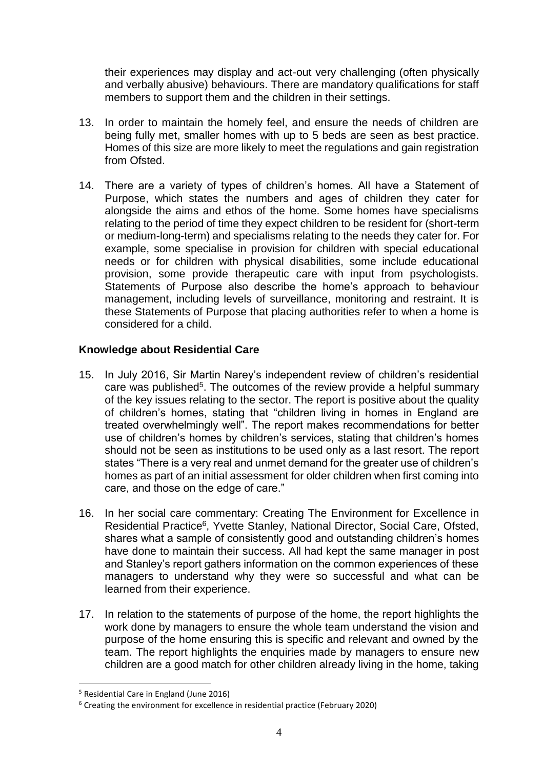their experiences may display and act-out very challenging (often physically and verbally abusive) behaviours. There are mandatory qualifications for staff members to support them and the children in their settings.

- 13. In order to maintain the homely feel, and ensure the needs of children are being fully met, smaller homes with up to 5 beds are seen as best practice. Homes of this size are more likely to meet the regulations and gain registration from Ofsted.
- 14. There are a variety of types of children's homes. All have a Statement of Purpose, which states the numbers and ages of children they cater for alongside the aims and ethos of the home. Some homes have specialisms relating to the period of time they expect children to be resident for (short-term or medium-long-term) and specialisms relating to the needs they cater for. For example, some specialise in provision for children with special educational needs or for children with physical disabilities, some include educational provision, some provide therapeutic care with input from psychologists. Statements of Purpose also describe the home's approach to behaviour management, including levels of surveillance, monitoring and restraint. It is these Statements of Purpose that placing authorities refer to when a home is considered for a child.

### **Knowledge about Residential Care**

- 15. In July 2016, Sir Martin Narey's independent review of children's residential care was published<sup>5</sup>. The outcomes of the review provide a helpful summary of the key issues relating to the sector. The report is positive about the quality of children's homes, stating that "children living in homes in England are treated overwhelmingly well". The report makes recommendations for better use of children's homes by children's services, stating that children's homes should not be seen as institutions to be used only as a last resort. The report states "There is a very real and unmet demand for the greater use of children's homes as part of an initial assessment for older children when first coming into care, and those on the edge of care."
- 16. In her social care commentary: Creating The Environment for Excellence in Residential Practice<sup>6</sup>, Yvette Stanley, National Director, Social Care, Ofsted, shares what a sample of consistently good and outstanding children's homes have done to maintain their success. All had kept the same manager in post and Stanley's report gathers information on the common experiences of these managers to understand why they were so successful and what can be learned from their experience.
- 17. In relation to the statements of purpose of the home, the report highlights the work done by managers to ensure the whole team understand the vision and purpose of the home ensuring this is specific and relevant and owned by the team. The report highlights the enquiries made by managers to ensure new children are a good match for other children already living in the home, taking

<sup>5</sup> Residential Care in England (June 2016)

<sup>6</sup> Creating the environment for excellence in residential practice (February 2020)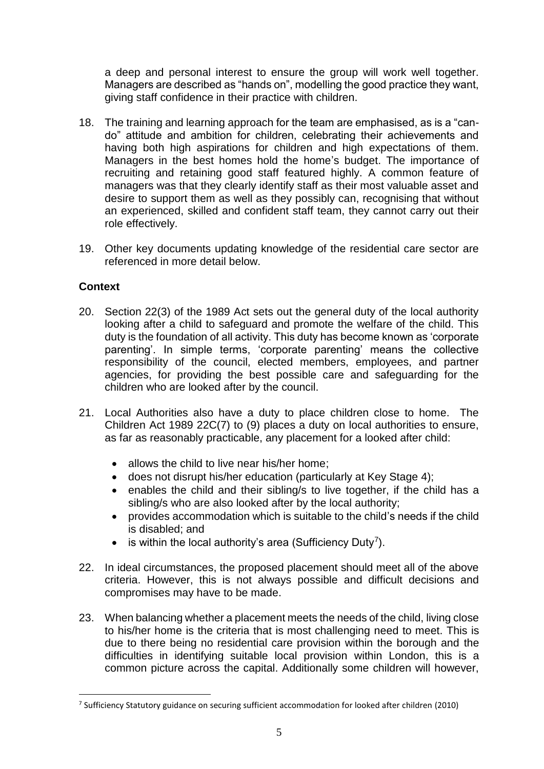a deep and personal interest to ensure the group will work well together. Managers are described as "hands on", modelling the good practice they want, giving staff confidence in their practice with children.

- 18. The training and learning approach for the team are emphasised, as is a "cando" attitude and ambition for children, celebrating their achievements and having both high aspirations for children and high expectations of them. Managers in the best homes hold the home's budget. The importance of recruiting and retaining good staff featured highly. A common feature of managers was that they clearly identify staff as their most valuable asset and desire to support them as well as they possibly can, recognising that without an experienced, skilled and confident staff team, they cannot carry out their role effectively.
- 19. Other key documents updating knowledge of the residential care sector are referenced in more detail below.

### **Context**

- 20. Section 22(3) of the 1989 Act sets out the general duty of the local authority looking after a child to safeguard and promote the welfare of the child. This duty is the foundation of all activity. This duty has become known as 'corporate parenting'. In simple terms, 'corporate parenting' means the collective responsibility of the council, elected members, employees, and partner agencies, for providing the best possible care and safeguarding for the children who are looked after by the council.
- 21. Local Authorities also have a duty to place children close to home. The Children Act 1989 22C(7) to (9) places a duty on local authorities to ensure, as far as reasonably practicable, any placement for a looked after child:
	- allows the child to live near his/her home;
	- does not disrupt his/her education (particularly at Key Stage 4);
	- enables the child and their sibling/s to live together, if the child has a sibling/s who are also looked after by the local authority;
	- provides accommodation which is suitable to the child's needs if the child is disabled; and
	- $\bullet$  is within the local authority's area (Sufficiency Duty<sup>7</sup>).
- 22. In ideal circumstances, the proposed placement should meet all of the above criteria. However, this is not always possible and difficult decisions and compromises may have to be made.
- 23. When balancing whether a placement meets the needs of the child, living close to his/her home is the criteria that is most challenging need to meet. This is due to there being no residential care provision within the borough and the difficulties in identifying suitable local provision within London, this is a common picture across the capital. Additionally some children will however,

<sup>&</sup>lt;sup>7</sup> Sufficiency Statutory guidance on securing sufficient accommodation for looked after children (2010)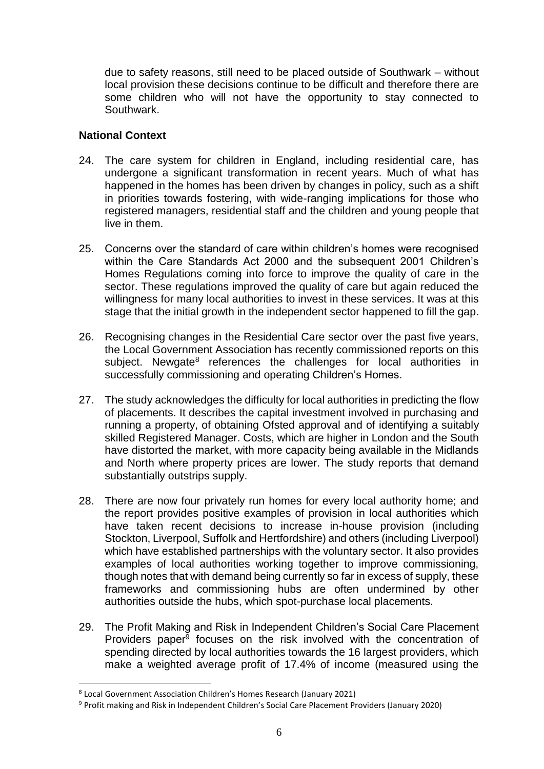due to safety reasons, still need to be placed outside of Southwark – without local provision these decisions continue to be difficult and therefore there are some children who will not have the opportunity to stay connected to Southwark.

### **National Context**

- 24. The care system for children in England, including residential care, has undergone a significant transformation in recent years. Much of what has happened in the homes has been driven by changes in policy, such as a shift in priorities towards fostering, with wide-ranging implications for those who registered managers, residential staff and the children and young people that live in them.
- 25. Concerns over the standard of care within children's homes were recognised within the Care Standards Act 2000 and the subsequent 2001 Children's Homes Regulations coming into force to improve the quality of care in the sector. These regulations improved the quality of care but again reduced the willingness for many local authorities to invest in these services. It was at this stage that the initial growth in the independent sector happened to fill the gap.
- 26. Recognising changes in the Residential Care sector over the past five years, the Local Government Association has recently commissioned reports on this subject. Newgate<sup>8</sup> references the challenges for local authorities in successfully commissioning and operating Children's Homes.
- 27. The study acknowledges the difficulty for local authorities in predicting the flow of placements. It describes the capital investment involved in purchasing and running a property, of obtaining Ofsted approval and of identifying a suitably skilled Registered Manager. Costs, which are higher in London and the South have distorted the market, with more capacity being available in the Midlands and North where property prices are lower. The study reports that demand substantially outstrips supply.
- 28. There are now four privately run homes for every local authority home; and the report provides positive examples of provision in local authorities which have taken recent decisions to increase in-house provision (including Stockton, Liverpool, Suffolk and Hertfordshire) and others (including Liverpool) which have established partnerships with the voluntary sector. It also provides examples of local authorities working together to improve commissioning, though notes that with demand being currently so far in excess of supply, these frameworks and commissioning hubs are often undermined by other authorities outside the hubs, which spot-purchase local placements.
- 29. The Profit Making and Risk in Independent Children's Social Care Placement Providers paper<sup>9</sup> focuses on the risk involved with the concentration of spending directed by local authorities towards the 16 largest providers, which make a weighted average profit of 17.4% of income (measured using the

<sup>8</sup> Local Government Association Children's Homes Research (January 2021)

<sup>9</sup> Profit making and Risk in Independent Children's Social Care Placement Providers (January 2020)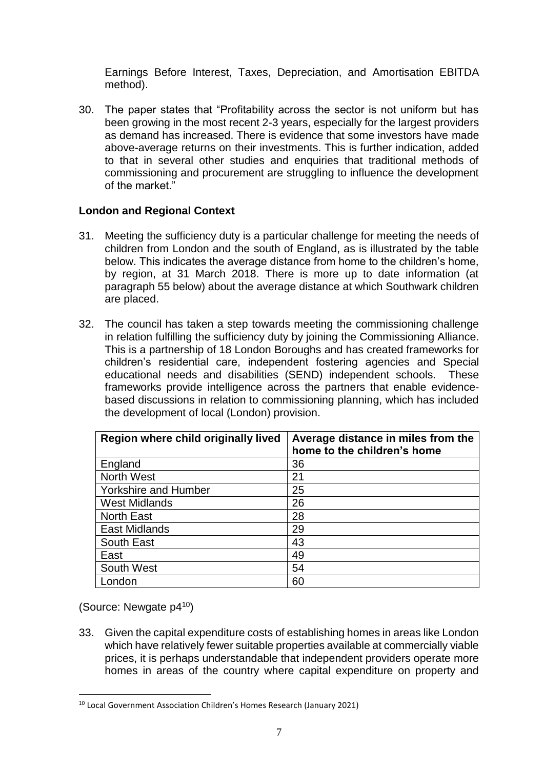Earnings Before Interest, Taxes, Depreciation, and Amortisation EBITDA method).

30. The paper states that "Profitability across the sector is not uniform but has been growing in the most recent 2-3 years, especially for the largest providers as demand has increased. There is evidence that some investors have made above-average returns on their investments. This is further indication, added to that in several other studies and enquiries that traditional methods of commissioning and procurement are struggling to influence the development of the market."

### **London and Regional Context**

- 31. Meeting the sufficiency duty is a particular challenge for meeting the needs of children from London and the south of England, as is illustrated by the table below. This indicates the average distance from home to the children's home, by region, at 31 March 2018. There is more up to date information (at paragraph 55 below) about the average distance at which Southwark children are placed.
- 32. The council has taken a step towards meeting the commissioning challenge in relation fulfilling the sufficiency duty by joining the Commissioning Alliance. This is a partnership of 18 London Boroughs and has created frameworks for children's residential care, independent fostering agencies and Special educational needs and disabilities (SEND) independent schools. These frameworks provide intelligence across the partners that enable evidencebased discussions in relation to commissioning planning, which has included the development of local (London) provision.

| Region where child originally lived | Average distance in miles from the<br>home to the children's home |
|-------------------------------------|-------------------------------------------------------------------|
| England                             | 36                                                                |
| <b>North West</b>                   | 21                                                                |
| <b>Yorkshire and Humber</b>         | 25                                                                |
| <b>West Midlands</b>                | 26                                                                |
| <b>North East</b>                   | 28                                                                |
| <b>East Midlands</b>                | 29                                                                |
| South East                          | 43                                                                |
| East                                | 49                                                                |
| South West                          | 54                                                                |
| London                              | 60                                                                |

(Source: Newgate p4<sup>10</sup>)

 $\overline{a}$ 

33. Given the capital expenditure costs of establishing homes in areas like London which have relatively fewer suitable properties available at commercially viable prices, it is perhaps understandable that independent providers operate more homes in areas of the country where capital expenditure on property and

<sup>10</sup> Local Government Association Children's Homes Research (January 2021)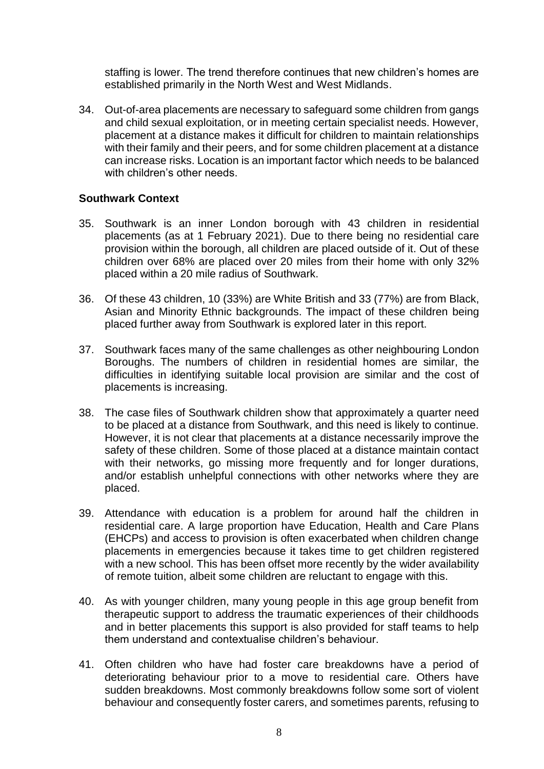staffing is lower. The trend therefore continues that new children's homes are established primarily in the North West and West Midlands.

34. Out-of-area placements are necessary to safeguard some children from gangs and child sexual exploitation, or in meeting certain specialist needs. However, placement at a distance makes it difficult for children to maintain relationships with their family and their peers, and for some children placement at a distance can increase risks. Location is an important factor which needs to be balanced with children's other needs.

### **Southwark Context**

- 35. Southwark is an inner London borough with 43 children in residential placements (as at 1 February 2021). Due to there being no residential care provision within the borough, all children are placed outside of it. Out of these children over 68% are placed over 20 miles from their home with only 32% placed within a 20 mile radius of Southwark.
- 36. Of these 43 children, 10 (33%) are White British and 33 (77%) are from Black, Asian and Minority Ethnic backgrounds. The impact of these children being placed further away from Southwark is explored later in this report.
- 37. Southwark faces many of the same challenges as other neighbouring London Boroughs. The numbers of children in residential homes are similar, the difficulties in identifying suitable local provision are similar and the cost of placements is increasing.
- 38. The case files of Southwark children show that approximately a quarter need to be placed at a distance from Southwark, and this need is likely to continue. However, it is not clear that placements at a distance necessarily improve the safety of these children. Some of those placed at a distance maintain contact with their networks, go missing more frequently and for longer durations, and/or establish unhelpful connections with other networks where they are placed.
- 39. Attendance with education is a problem for around half the children in residential care. A large proportion have Education, Health and Care Plans (EHCPs) and access to provision is often exacerbated when children change placements in emergencies because it takes time to get children registered with a new school. This has been offset more recently by the wider availability of remote tuition, albeit some children are reluctant to engage with this.
- 40. As with younger children, many young people in this age group benefit from therapeutic support to address the traumatic experiences of their childhoods and in better placements this support is also provided for staff teams to help them understand and contextualise children's behaviour.
- 41. Often children who have had foster care breakdowns have a period of deteriorating behaviour prior to a move to residential care. Others have sudden breakdowns. Most commonly breakdowns follow some sort of violent behaviour and consequently foster carers, and sometimes parents, refusing to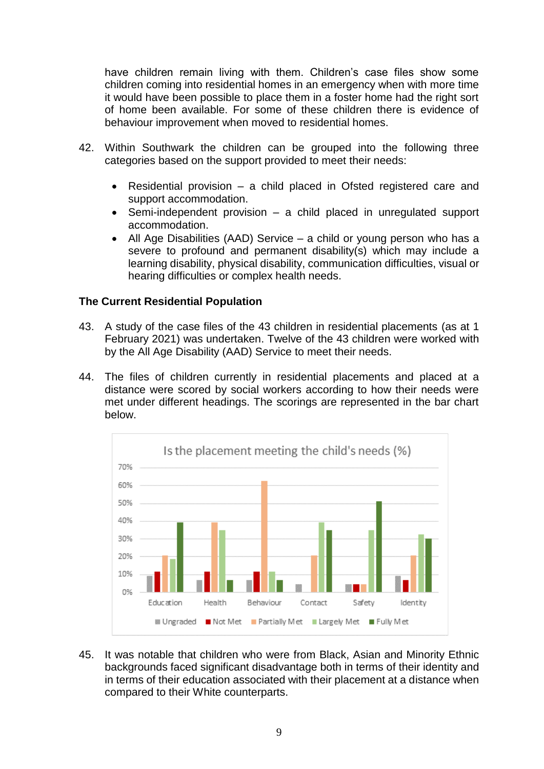have children remain living with them. Children's case files show some children coming into residential homes in an emergency when with more time it would have been possible to place them in a foster home had the right sort of home been available. For some of these children there is evidence of behaviour improvement when moved to residential homes.

- 42. Within Southwark the children can be grouped into the following three categories based on the support provided to meet their needs:
	- Residential provision a child placed in Ofsted registered care and support accommodation.
	- Semi-independent provision a child placed in unregulated support accommodation.
	- All Age Disabilities (AAD) Service a child or young person who has a severe to profound and permanent disability(s) which may include a learning disability, physical disability, communication difficulties, visual or hearing difficulties or complex health needs.

### **The Current Residential Population**

- 43. A study of the case files of the 43 children in residential placements (as at 1 February 2021) was undertaken. Twelve of the 43 children were worked with by the All Age Disability (AAD) Service to meet their needs.
- 44. The files of children currently in residential placements and placed at a distance were scored by social workers according to how their needs were met under different headings. The scorings are represented in the bar chart below.



45. It was notable that children who were from Black, Asian and Minority Ethnic backgrounds faced significant disadvantage both in terms of their identity and in terms of their education associated with their placement at a distance when compared to their White counterparts.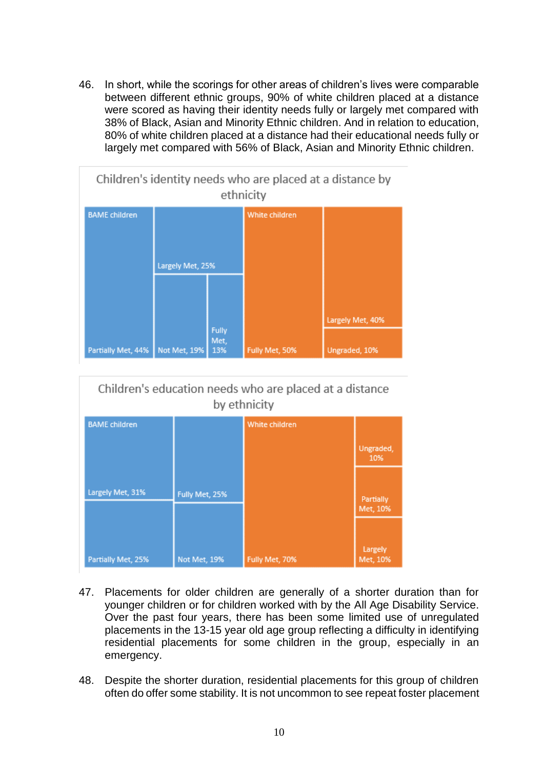46. In short, while the scorings for other areas of children's lives were comparable between different ethnic groups, 90% of white children placed at a distance were scored as having their identity needs fully or largely met compared with 38% of Black, Asian and Minority Ethnic children. And in relation to education, 80% of white children placed at a distance had their educational needs fully or largely met compared with 56% of Black, Asian and Minority Ethnic children.



# Children's education needs who are placed at a distance by ethnicity

| <b>BAME</b> children |                | White children |                       |
|----------------------|----------------|----------------|-----------------------|
|                      |                |                | Ungraded,<br>10%      |
|                      |                |                |                       |
| Largely Met, 31%     | Fully Met, 25% |                | Partially<br>Met, 10% |
|                      |                |                |                       |
| Partially Met, 25%   | Not Met, 19%   | Fully Met, 70% | Largely<br>Met, 10%   |

- 47. Placements for older children are generally of a shorter duration than for younger children or for children worked with by the All Age Disability Service. Over the past four years, there has been some limited use of unregulated placements in the 13-15 year old age group reflecting a difficulty in identifying residential placements for some children in the group, especially in an emergency.
- 48. Despite the shorter duration, residential placements for this group of children often do offer some stability. It is not uncommon to see repeat foster placement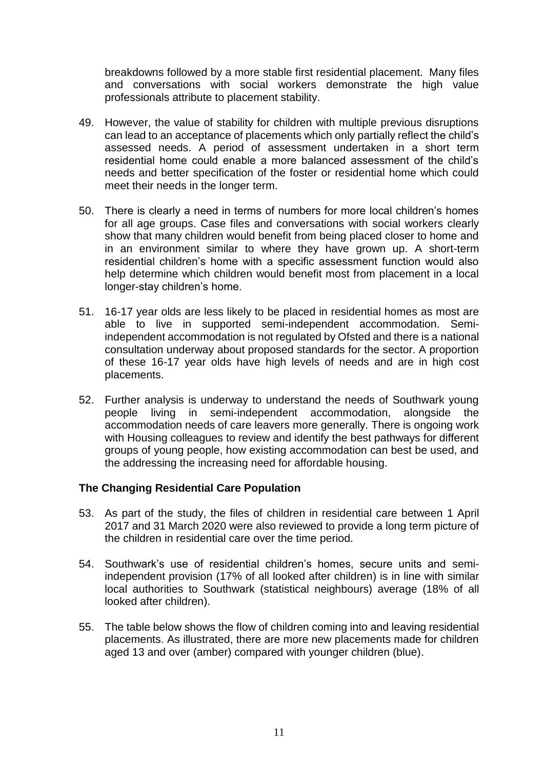breakdowns followed by a more stable first residential placement. Many files and conversations with social workers demonstrate the high value professionals attribute to placement stability.

- 49. However, the value of stability for children with multiple previous disruptions can lead to an acceptance of placements which only partially reflect the child's assessed needs. A period of assessment undertaken in a short term residential home could enable a more balanced assessment of the child's needs and better specification of the foster or residential home which could meet their needs in the longer term.
- 50. There is clearly a need in terms of numbers for more local children's homes for all age groups. Case files and conversations with social workers clearly show that many children would benefit from being placed closer to home and in an environment similar to where they have grown up. A short-term residential children's home with a specific assessment function would also help determine which children would benefit most from placement in a local longer-stay children's home.
- 51. 16-17 year olds are less likely to be placed in residential homes as most are able to live in supported semi-independent accommodation. Semiindependent accommodation is not regulated by Ofsted and there is a national consultation underway about proposed standards for the sector. A proportion of these 16-17 year olds have high levels of needs and are in high cost placements.
- 52. Further analysis is underway to understand the needs of Southwark young people living in semi-independent accommodation, alongside the accommodation needs of care leavers more generally. There is ongoing work with Housing colleagues to review and identify the best pathways for different groups of young people, how existing accommodation can best be used, and the addressing the increasing need for affordable housing.

### **The Changing Residential Care Population**

- 53. As part of the study, the files of children in residential care between 1 April 2017 and 31 March 2020 were also reviewed to provide a long term picture of the children in residential care over the time period.
- 54. Southwark's use of residential children's homes, secure units and semiindependent provision (17% of all looked after children) is in line with similar local authorities to Southwark (statistical neighbours) average (18% of all looked after children).
- 55. The table below shows the flow of children coming into and leaving residential placements. As illustrated, there are more new placements made for children aged 13 and over (amber) compared with younger children (blue).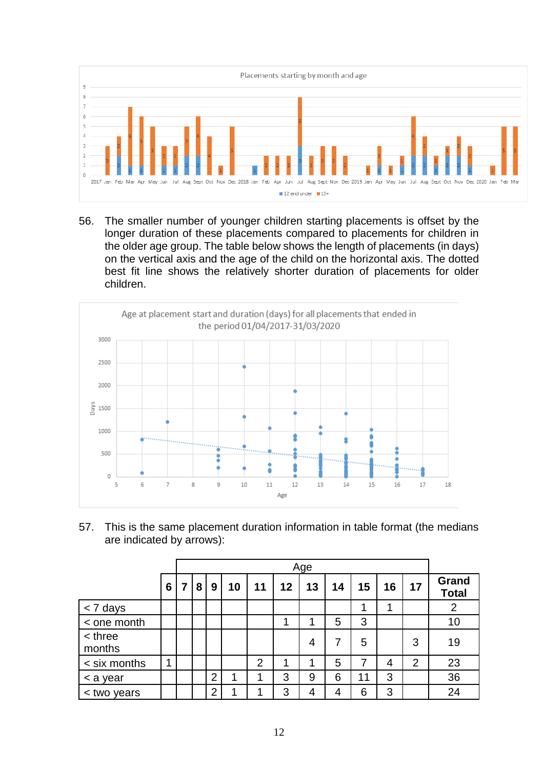

56. The smaller number of younger children starting placements is offset by the longer duration of these placements compared to placements for children in the older age group. The table below shows the length of placements (in days) on the vertical axis and the age of the child on the horizontal axis. The dotted best fit line shows the relatively shorter duration of placements for older children.



57. This is the same placement duration information in table format (the medians are indicated by arrows):

|                   |   | Age |                |    |                |    |    |    |    |    |                |                       |
|-------------------|---|-----|----------------|----|----------------|----|----|----|----|----|----------------|-----------------------|
|                   | 6 | 8   | 9              | 10 | 11             | 12 | 13 | 14 | 15 | 16 | 17             | Grand<br><b>Total</b> |
| < 7 days          |   |     |                |    |                |    |    |    |    | и  |                | $\overline{2}$        |
| < one month       |   |     |                |    |                | 4  | n  | 5  | 3  |    |                | 10                    |
| < three<br>months |   |     |                |    |                |    | 4  | 7  | 5  |    | 3              | 19                    |
| < six months      | и |     |                |    | $\overline{2}$ | 4  | 1  | 5  | 7  | 4  | $\overline{2}$ | 23                    |
| < a year          |   |     | $\overline{2}$ | 1  | л              | 3  | 9  | 6  | 11 | 3  |                | 36                    |
| < two years       |   |     | $\overline{2}$ |    |                | 3  | 4  | 4  | 6  | 3  |                | 24                    |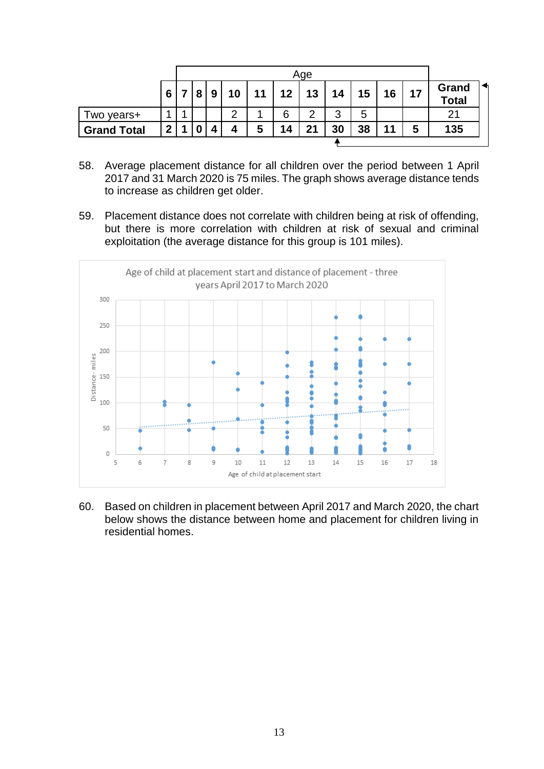|                    |                 | Age |   |    |    |    |    |    |    |    |    |                              |
|--------------------|-----------------|-----|---|----|----|----|----|----|----|----|----|------------------------------|
|                    | $6\phantom{1}6$ | 8   | 9 | 10 | 11 | 12 | 13 | 14 | 15 | 16 | 17 | <b>Grand</b><br><b>Total</b> |
| wo years+          |                 |     |   | റ  |    | 6  | റ  | 3  | 5  |    |    | 21                           |
| <b>Grand Total</b> | າ               |     | Д | 4  | 5  | 14 | 21 | 30 | 38 | 11 | 5  | 135                          |

- 58. Average placement distance for all children over the period between 1 April 2017 and 31 March 2020 is 75 miles. The graph shows average distance tends to increase as children get older.
- 59. Placement distance does not correlate with children being at risk of offending, but there is more correlation with children at risk of sexual and criminal exploitation (the average distance for this group is 101 miles).



60. Based on children in placement between April 2017 and March 2020, the chart below shows the distance between home and placement for children living in residential homes.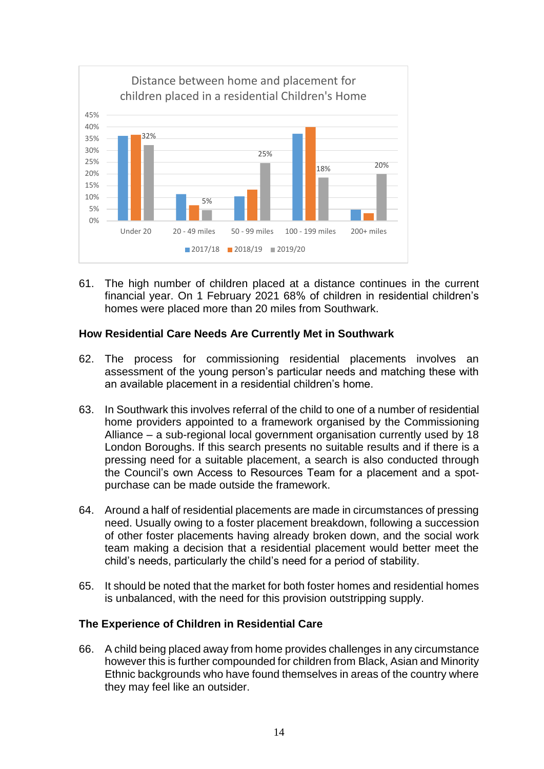

61. The high number of children placed at a distance continues in the current financial year. On 1 February 2021 68% of children in residential children's homes were placed more than 20 miles from Southwark.

### **How Residential Care Needs Are Currently Met in Southwark**

- 62. The process for commissioning residential placements involves an assessment of the young person's particular needs and matching these with an available placement in a residential children's home.
- 63. In Southwark this involves referral of the child to one of a number of residential home providers appointed to a framework organised by the Commissioning Alliance – a sub-regional local government organisation currently used by 18 London Boroughs. If this search presents no suitable results and if there is a pressing need for a suitable placement, a search is also conducted through the Council's own Access to Resources Team for a placement and a spotpurchase can be made outside the framework.
- 64. Around a half of residential placements are made in circumstances of pressing need. Usually owing to a foster placement breakdown, following a succession of other foster placements having already broken down, and the social work team making a decision that a residential placement would better meet the child's needs, particularly the child's need for a period of stability.
- 65. It should be noted that the market for both foster homes and residential homes is unbalanced, with the need for this provision outstripping supply.

### **The Experience of Children in Residential Care**

66. A child being placed away from home provides challenges in any circumstance however this is further compounded for children from Black, Asian and Minority Ethnic backgrounds who have found themselves in areas of the country where they may feel like an outsider.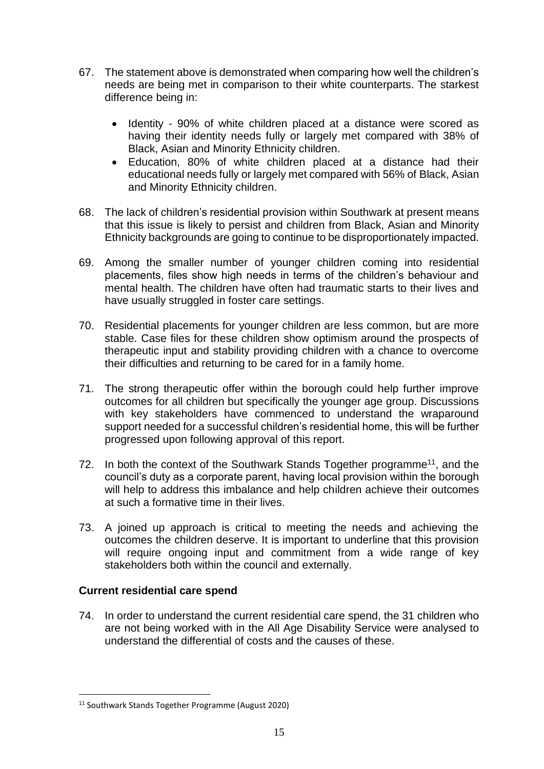- 67. The statement above is demonstrated when comparing how well the children's needs are being met in comparison to their white counterparts. The starkest difference being in:
	- Identity 90% of white children placed at a distance were scored as having their identity needs fully or largely met compared with 38% of Black, Asian and Minority Ethnicity children.
	- Education, 80% of white children placed at a distance had their educational needs fully or largely met compared with 56% of Black, Asian and Minority Ethnicity children.
- 68. The lack of children's residential provision within Southwark at present means that this issue is likely to persist and children from Black, Asian and Minority Ethnicity backgrounds are going to continue to be disproportionately impacted.
- 69. Among the smaller number of younger children coming into residential placements, files show high needs in terms of the children's behaviour and mental health. The children have often had traumatic starts to their lives and have usually struggled in foster care settings.
- 70. Residential placements for younger children are less common, but are more stable. Case files for these children show optimism around the prospects of therapeutic input and stability providing children with a chance to overcome their difficulties and returning to be cared for in a family home.
- 71. The strong therapeutic offer within the borough could help further improve outcomes for all children but specifically the younger age group. Discussions with key stakeholders have commenced to understand the wraparound support needed for a successful children's residential home, this will be further progressed upon following approval of this report.
- 72. In both the context of the Southwark Stands Together programme<sup>11</sup>, and the council's duty as a corporate parent, having local provision within the borough will help to address this imbalance and help children achieve their outcomes at such a formative time in their lives.
- 73. A joined up approach is critical to meeting the needs and achieving the outcomes the children deserve. It is important to underline that this provision will require ongoing input and commitment from a wide range of key stakeholders both within the council and externally.

### **Current residential care spend**

 $\overline{a}$ 

74. In order to understand the current residential care spend, the 31 children who are not being worked with in the All Age Disability Service were analysed to understand the differential of costs and the causes of these.

<sup>11</sup> Southwark Stands Together Programme (August 2020)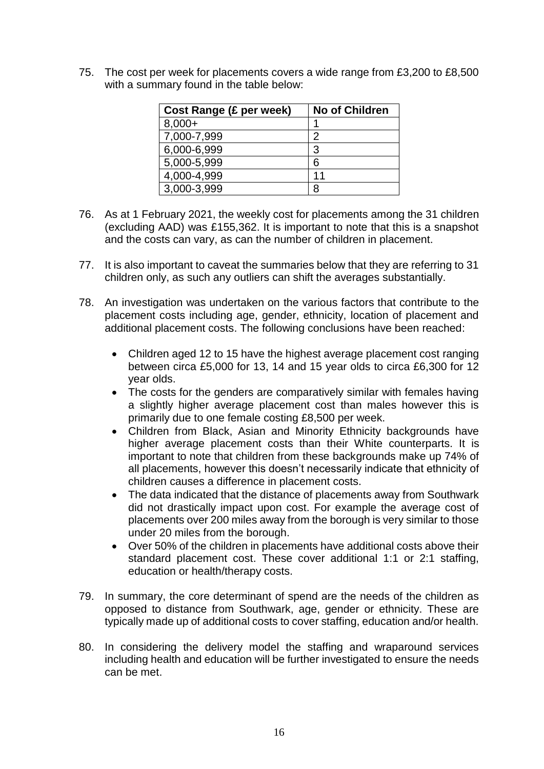75. The cost per week for placements covers a wide range from £3,200 to £8,500 with a summary found in the table below:

| Cost Range (£ per week) | <b>No of Children</b> |
|-------------------------|-----------------------|
| $8,000+$                |                       |
| 7,000-7,999             | 2                     |
| 6,000-6,999             | 3                     |
| 5,000-5,999             | 6                     |
| 4,000-4,999             | 11                    |
| 3,000-3,999             | R                     |

- 76. As at 1 February 2021, the weekly cost for placements among the 31 children (excluding AAD) was £155,362. It is important to note that this is a snapshot and the costs can vary, as can the number of children in placement.
- 77. It is also important to caveat the summaries below that they are referring to 31 children only, as such any outliers can shift the averages substantially.
- 78. An investigation was undertaken on the various factors that contribute to the placement costs including age, gender, ethnicity, location of placement and additional placement costs. The following conclusions have been reached:
	- Children aged 12 to 15 have the highest average placement cost ranging between circa £5,000 for 13, 14 and 15 year olds to circa £6,300 for 12 year olds.
	- The costs for the genders are comparatively similar with females having a slightly higher average placement cost than males however this is primarily due to one female costing £8,500 per week.
	- Children from Black, Asian and Minority Ethnicity backgrounds have higher average placement costs than their White counterparts. It is important to note that children from these backgrounds make up 74% of all placements, however this doesn't necessarily indicate that ethnicity of children causes a difference in placement costs.
	- The data indicated that the distance of placements away from Southwark did not drastically impact upon cost. For example the average cost of placements over 200 miles away from the borough is very similar to those under 20 miles from the borough.
	- Over 50% of the children in placements have additional costs above their standard placement cost. These cover additional 1:1 or 2:1 staffing, education or health/therapy costs.
- 79. In summary, the core determinant of spend are the needs of the children as opposed to distance from Southwark, age, gender or ethnicity. These are typically made up of additional costs to cover staffing, education and/or health.
- 80. In considering the delivery model the staffing and wraparound services including health and education will be further investigated to ensure the needs can be met.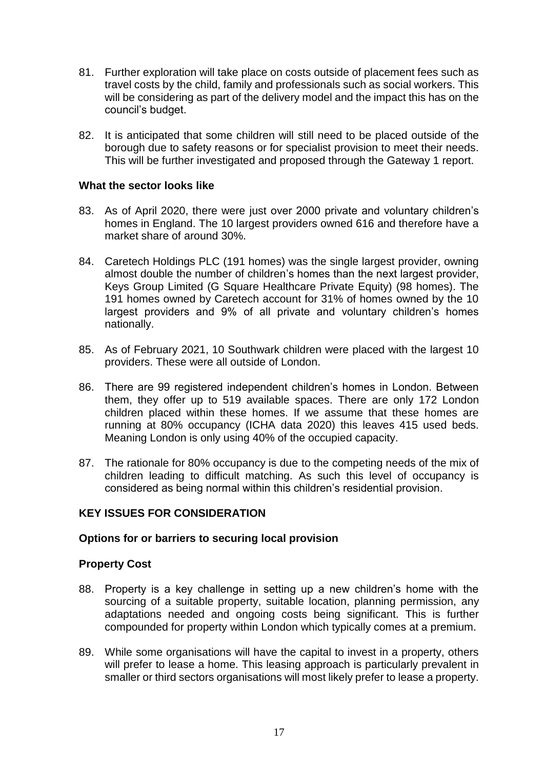- 81. Further exploration will take place on costs outside of placement fees such as travel costs by the child, family and professionals such as social workers. This will be considering as part of the delivery model and the impact this has on the council's budget.
- 82. It is anticipated that some children will still need to be placed outside of the borough due to safety reasons or for specialist provision to meet their needs. This will be further investigated and proposed through the Gateway 1 report.

#### **What the sector looks like**

- 83. As of April 2020, there were just over 2000 private and voluntary children's homes in England. The 10 largest providers owned 616 and therefore have a market share of around 30%.
- 84. Caretech Holdings PLC (191 homes) was the single largest provider, owning almost double the number of children's homes than the next largest provider, Keys Group Limited (G Square Healthcare Private Equity) (98 homes). The 191 homes owned by Caretech account for 31% of homes owned by the 10 largest providers and 9% of all private and voluntary children's homes nationally.
- 85. As of February 2021, 10 Southwark children were placed with the largest 10 providers. These were all outside of London.
- 86. There are 99 registered independent children's homes in London. Between them, they offer up to 519 available spaces. There are only 172 London children placed within these homes. If we assume that these homes are running at 80% occupancy (ICHA data 2020) this leaves 415 used beds. Meaning London is only using 40% of the occupied capacity.
- 87. The rationale for 80% occupancy is due to the competing needs of the mix of children leading to difficult matching. As such this level of occupancy is considered as being normal within this children's residential provision.

### **KEY ISSUES FOR CONSIDERATION**

#### **Options for or barriers to securing local provision**

#### **Property Cost**

- 88. Property is a key challenge in setting up a new children's home with the sourcing of a suitable property, suitable location, planning permission, any adaptations needed and ongoing costs being significant. This is further compounded for property within London which typically comes at a premium.
- 89. While some organisations will have the capital to invest in a property, others will prefer to lease a home. This leasing approach is particularly prevalent in smaller or third sectors organisations will most likely prefer to lease a property.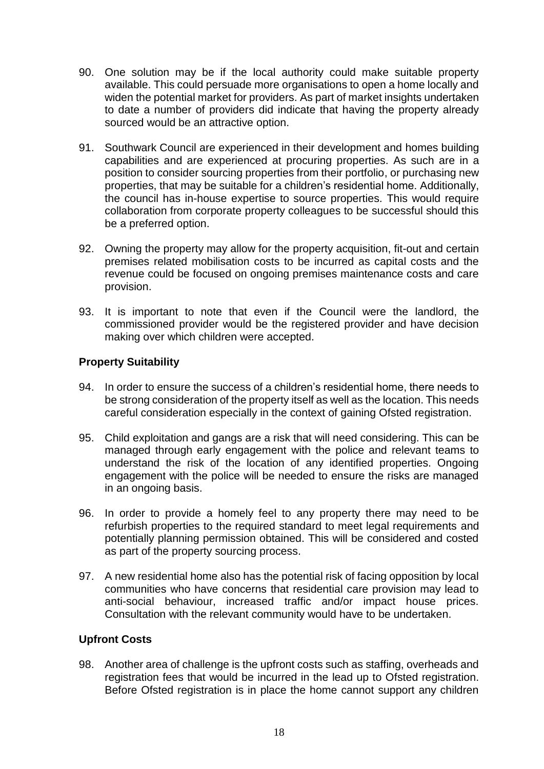- 90. One solution may be if the local authority could make suitable property available. This could persuade more organisations to open a home locally and widen the potential market for providers. As part of market insights undertaken to date a number of providers did indicate that having the property already sourced would be an attractive option.
- 91. Southwark Council are experienced in their development and homes building capabilities and are experienced at procuring properties. As such are in a position to consider sourcing properties from their portfolio, or purchasing new properties, that may be suitable for a children's residential home. Additionally, the council has in-house expertise to source properties. This would require collaboration from corporate property colleagues to be successful should this be a preferred option.
- 92. Owning the property may allow for the property acquisition, fit-out and certain premises related mobilisation costs to be incurred as capital costs and the revenue could be focused on ongoing premises maintenance costs and care provision.
- 93. It is important to note that even if the Council were the landlord, the commissioned provider would be the registered provider and have decision making over which children were accepted.

### **Property Suitability**

- 94. In order to ensure the success of a children's residential home, there needs to be strong consideration of the property itself as well as the location. This needs careful consideration especially in the context of gaining Ofsted registration.
- 95. Child exploitation and gangs are a risk that will need considering. This can be managed through early engagement with the police and relevant teams to understand the risk of the location of any identified properties. Ongoing engagement with the police will be needed to ensure the risks are managed in an ongoing basis.
- 96. In order to provide a homely feel to any property there may need to be refurbish properties to the required standard to meet legal requirements and potentially planning permission obtained. This will be considered and costed as part of the property sourcing process.
- 97. A new residential home also has the potential risk of facing opposition by local communities who have concerns that residential care provision may lead to anti-social behaviour, increased traffic and/or impact house prices. Consultation with the relevant community would have to be undertaken.

### **Upfront Costs**

98. Another area of challenge is the upfront costs such as staffing, overheads and registration fees that would be incurred in the lead up to Ofsted registration. Before Ofsted registration is in place the home cannot support any children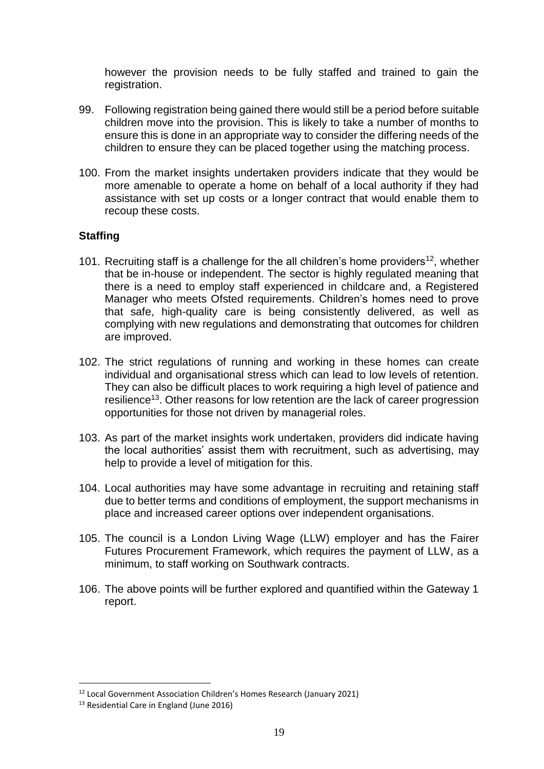however the provision needs to be fully staffed and trained to gain the registration.

- 99. Following registration being gained there would still be a period before suitable children move into the provision. This is likely to take a number of months to ensure this is done in an appropriate way to consider the differing needs of the children to ensure they can be placed together using the matching process.
- 100. From the market insights undertaken providers indicate that they would be more amenable to operate a home on behalf of a local authority if they had assistance with set up costs or a longer contract that would enable them to recoup these costs.

### **Staffing**

- 101. Recruiting staff is a challenge for the all children's home providers<sup>12</sup>, whether that be in-house or independent. The sector is highly regulated meaning that there is a need to employ staff experienced in childcare and, a Registered Manager who meets Ofsted requirements. Children's homes need to prove that safe, high-quality care is being consistently delivered, as well as complying with new regulations and demonstrating that outcomes for children are improved.
- 102. The strict regulations of running and working in these homes can create individual and organisational stress which can lead to low levels of retention. They can also be difficult places to work requiring a high level of patience and resilience<sup>13</sup>. Other reasons for low retention are the lack of career progression opportunities for those not driven by managerial roles.
- 103. As part of the market insights work undertaken, providers did indicate having the local authorities' assist them with recruitment, such as advertising, may help to provide a level of mitigation for this.
- 104. Local authorities may have some advantage in recruiting and retaining staff due to better terms and conditions of employment, the support mechanisms in place and increased career options over independent organisations.
- 105. The council is a London Living Wage (LLW) employer and has the Fairer Futures Procurement Framework, which requires the payment of LLW, as a minimum, to staff working on Southwark contracts.
- 106. The above points will be further explored and quantified within the Gateway 1 report.

<sup>&</sup>lt;sup>12</sup> Local Government Association Children's Homes Research (January 2021)

<sup>&</sup>lt;sup>13</sup> Residential Care in England (June 2016)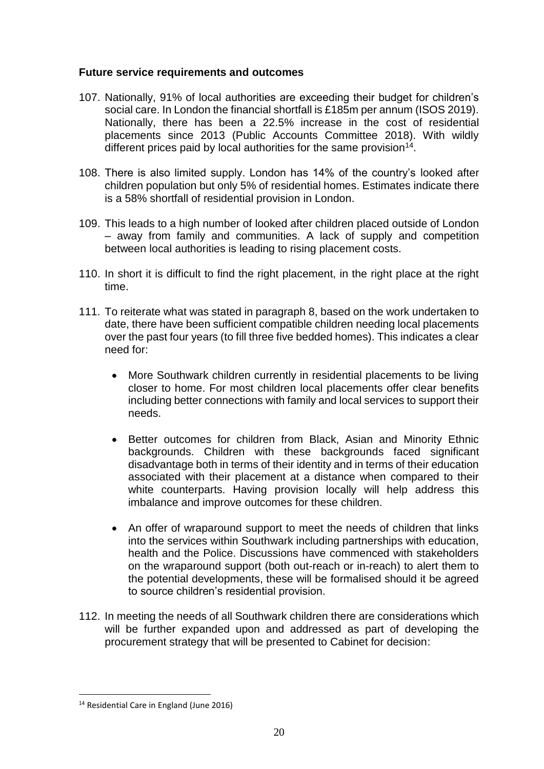### **Future service requirements and outcomes**

- 107. Nationally, 91% of local authorities are exceeding their budget for children's social care. In London the financial shortfall is £185m per annum (ISOS 2019). Nationally, there has been a 22.5% increase in the cost of residential placements since 2013 (Public Accounts Committee 2018). With wildly different prices paid by local authorities for the same provision<sup>14</sup>.
- 108. There is also limited supply. London has 14% of the country's looked after children population but only 5% of residential homes. Estimates indicate there is a 58% shortfall of residential provision in London.
- 109. This leads to a high number of looked after children placed outside of London – away from family and communities. A lack of supply and competition between local authorities is leading to rising placement costs.
- 110. In short it is difficult to find the right placement, in the right place at the right time.
- 111. To reiterate what was stated in paragraph 8, based on the work undertaken to date, there have been sufficient compatible children needing local placements over the past four years (to fill three five bedded homes). This indicates a clear need for:
	- More Southwark children currently in residential placements to be living closer to home. For most children local placements offer clear benefits including better connections with family and local services to support their needs.
	- Better outcomes for children from Black, Asian and Minority Ethnic backgrounds. Children with these backgrounds faced significant disadvantage both in terms of their identity and in terms of their education associated with their placement at a distance when compared to their white counterparts. Having provision locally will help address this imbalance and improve outcomes for these children.
	- An offer of wraparound support to meet the needs of children that links into the services within Southwark including partnerships with education, health and the Police. Discussions have commenced with stakeholders on the wraparound support (both out-reach or in-reach) to alert them to the potential developments, these will be formalised should it be agreed to source children's residential provision.
- 112. In meeting the needs of all Southwark children there are considerations which will be further expanded upon and addressed as part of developing the procurement strategy that will be presented to Cabinet for decision:

<sup>&</sup>lt;sup>14</sup> Residential Care in England (June 2016)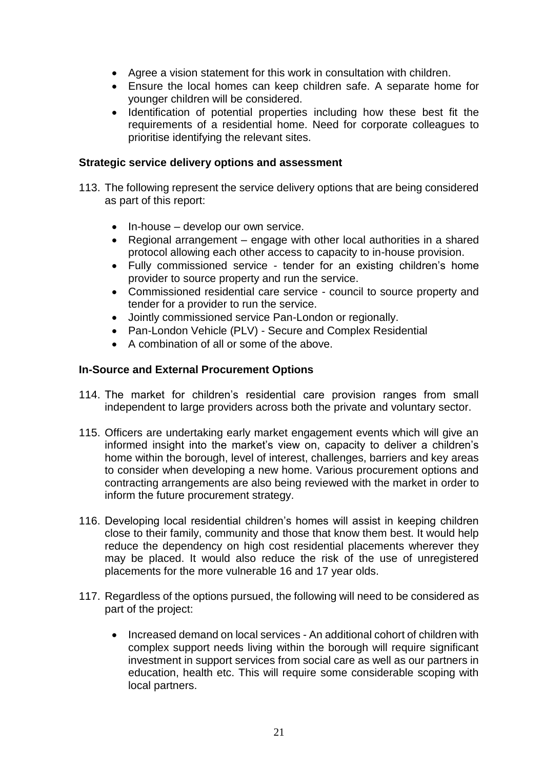- Agree a vision statement for this work in consultation with children.
- Ensure the local homes can keep children safe. A separate home for younger children will be considered.
- Identification of potential properties including how these best fit the requirements of a residential home. Need for corporate colleagues to prioritise identifying the relevant sites.

#### **Strategic service delivery options and assessment**

- 113. The following represent the service delivery options that are being considered as part of this report:
	- $\bullet$  In-house develop our own service.
	- Regional arrangement engage with other local authorities in a shared protocol allowing each other access to capacity to in-house provision.
	- Fully commissioned service tender for an existing children's home provider to source property and run the service.
	- Commissioned residential care service council to source property and tender for a provider to run the service.
	- Jointly commissioned service Pan-London or regionally.
	- Pan-London Vehicle (PLV) Secure and Complex Residential
	- A combination of all or some of the above.

### **In-Source and External Procurement Options**

- 114. The market for children's residential care provision ranges from small independent to large providers across both the private and voluntary sector.
- 115. Officers are undertaking early market engagement events which will give an informed insight into the market's view on, capacity to deliver a children's home within the borough, level of interest, challenges, barriers and key areas to consider when developing a new home. Various procurement options and contracting arrangements are also being reviewed with the market in order to inform the future procurement strategy.
- 116. Developing local residential children's homes will assist in keeping children close to their family, community and those that know them best. It would help reduce the dependency on high cost residential placements wherever they may be placed. It would also reduce the risk of the use of unregistered placements for the more vulnerable 16 and 17 year olds.
- 117. Regardless of the options pursued, the following will need to be considered as part of the project:
	- Increased demand on local services An additional cohort of children with complex support needs living within the borough will require significant investment in support services from social care as well as our partners in education, health etc. This will require some considerable scoping with local partners.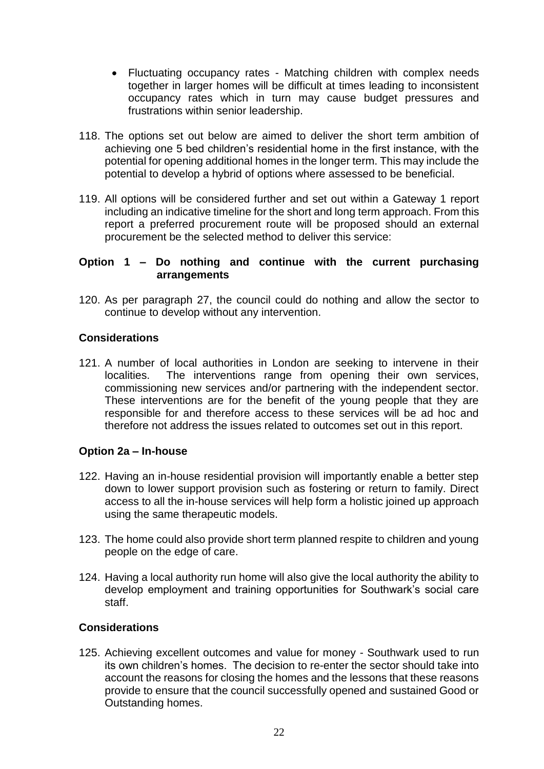- Fluctuating occupancy rates Matching children with complex needs together in larger homes will be difficult at times leading to inconsistent occupancy rates which in turn may cause budget pressures and frustrations within senior leadership.
- 118. The options set out below are aimed to deliver the short term ambition of achieving one 5 bed children's residential home in the first instance, with the potential for opening additional homes in the longer term. This may include the potential to develop a hybrid of options where assessed to be beneficial.
- 119. All options will be considered further and set out within a Gateway 1 report including an indicative timeline for the short and long term approach. From this report a preferred procurement route will be proposed should an external procurement be the selected method to deliver this service:

### **Option 1 – Do nothing and continue with the current purchasing arrangements**

120. As per paragraph 27, the council could do nothing and allow the sector to continue to develop without any intervention.

### **Considerations**

121. A number of local authorities in London are seeking to intervene in their localities. The interventions range from opening their own services, commissioning new services and/or partnering with the independent sector. These interventions are for the benefit of the young people that they are responsible for and therefore access to these services will be ad hoc and therefore not address the issues related to outcomes set out in this report.

### **Option 2a – In-house**

- 122. Having an in-house residential provision will importantly enable a better step down to lower support provision such as fostering or return to family. Direct access to all the in-house services will help form a holistic joined up approach using the same therapeutic models.
- 123. The home could also provide short term planned respite to children and young people on the edge of care.
- 124. Having a local authority run home will also give the local authority the ability to develop employment and training opportunities for Southwark's social care staff.

### **Considerations**

125. Achieving excellent outcomes and value for money - Southwark used to run its own children's homes. The decision to re-enter the sector should take into account the reasons for closing the homes and the lessons that these reasons provide to ensure that the council successfully opened and sustained Good or Outstanding homes.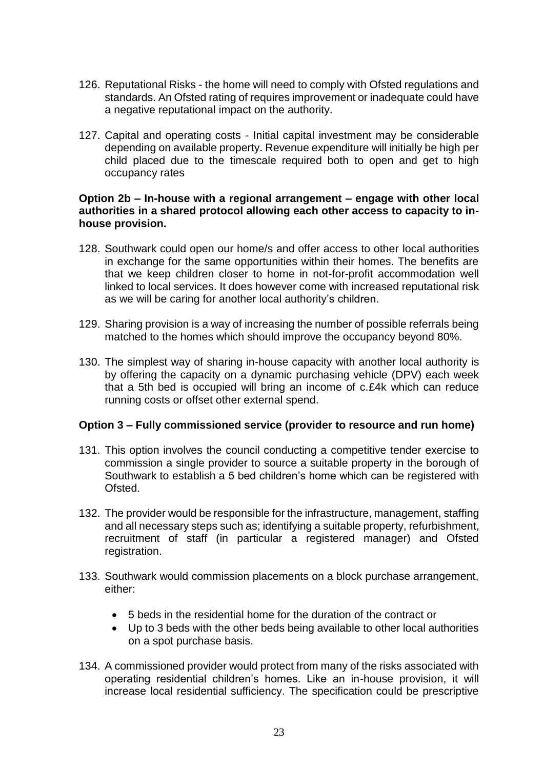- 126. Reputational Risks the home will need to comply with Ofsted regulations and standards. An Ofsted rating of requires improvement or inadequate could have a negative reputational impact on the authority.
- 127. Capital and operating costs Initial capital investment may be considerable depending on available property. Revenue expenditure will initially be high per child placed due to the timescale required both to open and get to high occupancy rates

#### **Option 2b – In-house with a regional arrangement – engage with other local authorities in a shared protocol allowing each other access to capacity to inhouse provision.**

- 128. Southwark could open our home/s and offer access to other local authorities in exchange for the same opportunities within their homes. The benefits are that we keep children closer to home in not-for-profit accommodation well linked to local services. It does however come with increased reputational risk as we will be caring for another local authority's children.
- 129. Sharing provision is a way of increasing the number of possible referrals being matched to the homes which should improve the occupancy beyond 80%.
- 130. The simplest way of sharing in-house capacity with another local authority is by offering the capacity on a dynamic purchasing vehicle (DPV) each week that a 5th bed is occupied will bring an income of c.£4k which can reduce running costs or offset other external spend.

### **Option 3 – Fully commissioned service (provider to resource and run home)**

- 131. This option involves the council conducting a competitive tender exercise to commission a single provider to source a suitable property in the borough of Southwark to establish a 5 bed children's home which can be registered with Ofsted.
- 132. The provider would be responsible for the infrastructure, management, staffing and all necessary steps such as; identifying a suitable property, refurbishment, recruitment of staff (in particular a registered manager) and Ofsted registration.
- 133. Southwark would commission placements on a block purchase arrangement, either:
	- 5 beds in the residential home for the duration of the contract or
	- Up to 3 beds with the other beds being available to other local authorities on a spot purchase basis.
- 134. A commissioned provider would protect from many of the risks associated with operating residential children's homes. Like an in-house provision, it will increase local residential sufficiency. The specification could be prescriptive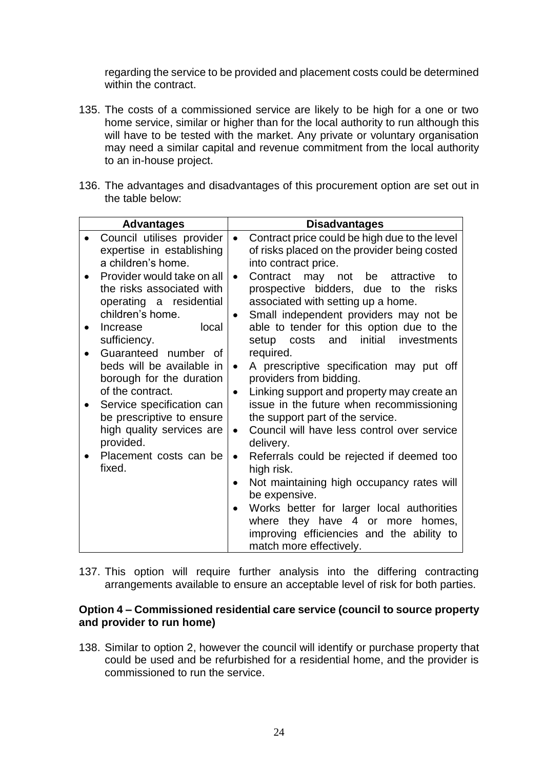regarding the service to be provided and placement costs could be determined within the contract.

- 135. The costs of a commissioned service are likely to be high for a one or two home service, similar or higher than for the local authority to run although this will have to be tested with the market. Any private or voluntary organisation may need a similar capital and revenue commitment from the local authority to an in-house project.
- 136. The advantages and disadvantages of this procurement option are set out in the table below:

|           | <b>Advantages</b>                                                                                      | <b>Disadvantages</b>                                                 |                                                                                                                                                                         |
|-----------|--------------------------------------------------------------------------------------------------------|----------------------------------------------------------------------|-------------------------------------------------------------------------------------------------------------------------------------------------------------------------|
| $\bullet$ | Council utilises provider<br>expertise in establishing<br>a children's home.                           | into contract price.                                                 | Contract price could be high due to the level<br>of risks placed on the provider being costed                                                                           |
| $\bullet$ | Provider would take on all<br>the risks associated with<br>operating a residential<br>children's home. | Contract may not be attractive<br>associated with setting up a home. | to<br>prospective bidders, due to the risks<br>Small independent providers may not be                                                                                   |
| $\bullet$ | local<br>Increase<br>sufficiency.                                                                      | setup costs and initial                                              | able to tender for this option due to the<br>investments                                                                                                                |
| $\bullet$ | Guaranteed number of<br>beds will be available in<br>borough for the duration<br>of the contract.      | required.<br>providers from bidding.                                 | A prescriptive specification may put off<br>Linking support and property may create an                                                                                  |
|           | Service specification can<br>be prescriptive to ensure<br>high quality services are<br>provided.       | the support part of the service.<br>delivery.                        | issue in the future when recommissioning<br>Council will have less control over service                                                                                 |
| $\bullet$ | Placement costs can be<br>fixed.                                                                       | high risk.                                                           | Referrals could be rejected if deemed too                                                                                                                               |
|           |                                                                                                        | be expensive.<br>match more effectively.                             | Not maintaining high occupancy rates will<br>Works better for larger local authorities<br>where they have 4 or more homes,<br>improving efficiencies and the ability to |

137. This option will require further analysis into the differing contracting arrangements available to ensure an acceptable level of risk for both parties.

### **Option 4 – Commissioned residential care service (council to source property and provider to run home)**

138. Similar to option 2, however the council will identify or purchase property that could be used and be refurbished for a residential home, and the provider is commissioned to run the service.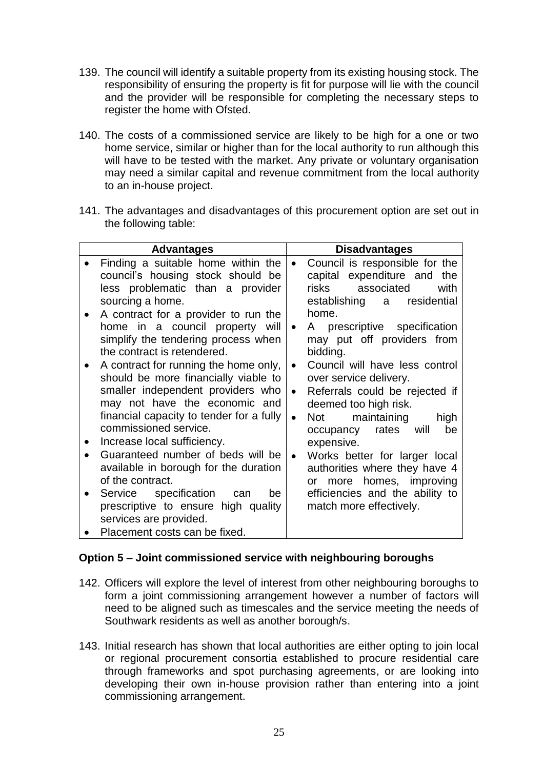- 139. The council will identify a suitable property from its existing housing stock. The responsibility of ensuring the property is fit for purpose will lie with the council and the provider will be responsible for completing the necessary steps to register the home with Ofsted.
- 140. The costs of a commissioned service are likely to be high for a one or two home service, similar or higher than for the local authority to run although this will have to be tested with the market. Any private or voluntary organisation may need a similar capital and revenue commitment from the local authority to an in-house project.
- 141. The advantages and disadvantages of this procurement option are set out in the following table:

| <b>Advantages</b>                                                                                                                                                                                                                                                                                                                                                                                                                                                                                                                                                                                                                                                                                                                                                                     | <b>Disadvantages</b>                                                                                                                                                                                                                                                                                                                                                                                                                                                                                                                                                                                                                                             |
|---------------------------------------------------------------------------------------------------------------------------------------------------------------------------------------------------------------------------------------------------------------------------------------------------------------------------------------------------------------------------------------------------------------------------------------------------------------------------------------------------------------------------------------------------------------------------------------------------------------------------------------------------------------------------------------------------------------------------------------------------------------------------------------|------------------------------------------------------------------------------------------------------------------------------------------------------------------------------------------------------------------------------------------------------------------------------------------------------------------------------------------------------------------------------------------------------------------------------------------------------------------------------------------------------------------------------------------------------------------------------------------------------------------------------------------------------------------|
| Finding a suitable home within the<br>council's housing stock should be<br>less problematic than a provider<br>sourcing a home.<br>A contract for a provider to run the<br>home in a council property will<br>simplify the tendering process when<br>the contract is retendered.<br>A contract for running the home only,<br>should be more financially viable to<br>smaller independent providers who<br>may not have the economic and<br>financial capacity to tender for a fully<br>commissioned service.<br>Increase local sufficiency.<br>Guaranteed number of beds will be<br>available in borough for the duration<br>of the contract.<br>Service specification<br>be<br>can<br>prescriptive to ensure high quality<br>services are provided.<br>Placement costs can be fixed. | Council is responsible for the<br>capital expenditure and<br>the<br>associated<br>risks<br>with<br>establishing<br>residential<br>a a<br>home.<br>A prescriptive specification<br>$\bullet$<br>may put off providers from<br>bidding.<br>Council will have less control<br>$\bullet$<br>over service delivery.<br>Referrals could be rejected if<br>$\bullet$<br>deemed too high risk.<br>maintaining<br><b>Not</b><br>high<br>$\bullet$<br>rates will<br>occupancy<br>be<br>expensive.<br>Works better for larger local<br>$\bullet$<br>authorities where they have 4<br>or more homes, improving<br>efficiencies and the ability to<br>match more effectively. |

### **Option 5 – Joint commissioned service with neighbouring boroughs**

- 142. Officers will explore the level of interest from other neighbouring boroughs to form a joint commissioning arrangement however a number of factors will need to be aligned such as timescales and the service meeting the needs of Southwark residents as well as another borough/s.
- 143. Initial research has shown that local authorities are either opting to join local or regional procurement consortia established to procure residential care through frameworks and spot purchasing agreements, or are looking into developing their own in-house provision rather than entering into a joint commissioning arrangement.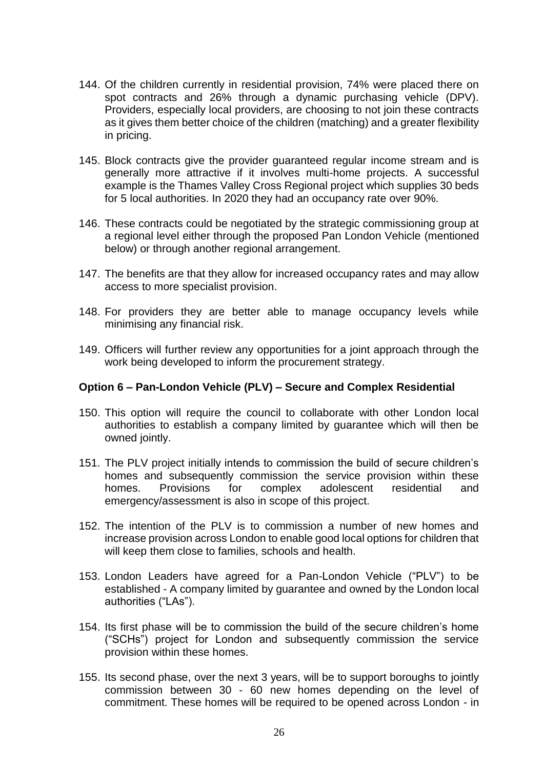- 144. Of the children currently in residential provision, 74% were placed there on spot contracts and 26% through a dynamic purchasing vehicle (DPV). Providers, especially local providers, are choosing to not join these contracts as it gives them better choice of the children (matching) and a greater flexibility in pricing.
- 145. Block contracts give the provider guaranteed regular income stream and is generally more attractive if it involves multi-home projects. A successful example is the Thames Valley Cross Regional project which supplies 30 beds for 5 local authorities. In 2020 they had an occupancy rate over 90%.
- 146. These contracts could be negotiated by the strategic commissioning group at a regional level either through the proposed Pan London Vehicle (mentioned below) or through another regional arrangement.
- 147. The benefits are that they allow for increased occupancy rates and may allow access to more specialist provision.
- 148. For providers they are better able to manage occupancy levels while minimising any financial risk.
- 149. Officers will further review any opportunities for a joint approach through the work being developed to inform the procurement strategy.

### **Option 6 – Pan-London Vehicle (PLV) – Secure and Complex Residential**

- 150. This option will require the council to collaborate with other London local authorities to establish a company limited by guarantee which will then be owned jointly.
- 151. The PLV project initially intends to commission the build of secure children's homes and subsequently commission the service provision within these homes. Provisions for complex adolescent residential and emergency/assessment is also in scope of this project.
- 152. The intention of the PLV is to commission a number of new homes and increase provision across London to enable good local options for children that will keep them close to families, schools and health.
- 153. London Leaders have agreed for a Pan-London Vehicle ("PLV") to be established - A company limited by guarantee and owned by the London local authorities ("LAs").
- 154. Its first phase will be to commission the build of the secure children's home ("SCHs") project for London and subsequently commission the service provision within these homes.
- 155. Its second phase, over the next 3 years, will be to support boroughs to jointly commission between 30 - 60 new homes depending on the level of commitment. These homes will be required to be opened across London - in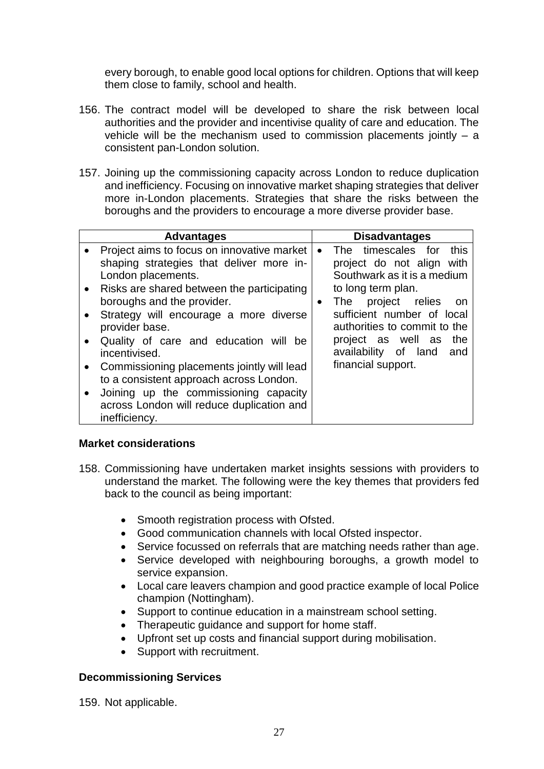every borough, to enable good local options for children. Options that will keep them close to family, school and health.

- 156. The contract model will be developed to share the risk between local authorities and the provider and incentivise quality of care and education. The vehicle will be the mechanism used to commission placements jointly – a consistent pan-London solution.
- 157. Joining up the commissioning capacity across London to reduce duplication and inefficiency. Focusing on innovative market shaping strategies that deliver more in-London placements. Strategies that share the risks between the boroughs and the providers to encourage a more diverse provider base.

| <b>Advantages</b>                                                                                                                                                                                                                                                                                                                                                                                                                                                                                                                                                               | <b>Disadvantages</b>                                                                                                                                                                                                                                                                                              |
|---------------------------------------------------------------------------------------------------------------------------------------------------------------------------------------------------------------------------------------------------------------------------------------------------------------------------------------------------------------------------------------------------------------------------------------------------------------------------------------------------------------------------------------------------------------------------------|-------------------------------------------------------------------------------------------------------------------------------------------------------------------------------------------------------------------------------------------------------------------------------------------------------------------|
| Project aims to focus on innovative market<br>shaping strategies that deliver more in-<br>London placements.<br>Risks are shared between the participating<br>$\bullet$<br>boroughs and the provider.<br>Strategy will encourage a more diverse<br>$\bullet$<br>provider base.<br>Quality of care and education will be<br>$\bullet$<br>incentivised.<br>Commissioning placements jointly will lead<br>$\bullet$<br>to a consistent approach across London.<br>Joining up the commissioning capacity<br>$\bullet$<br>across London will reduce duplication and<br>inefficiency. | The timescales for<br>this<br>$\bullet$<br>project do not align with<br>Southwark as it is a medium<br>to long term plan.<br>The project relies<br>- on<br>$\bullet$<br>sufficient number of local<br>authorities to commit to the<br>project as well as<br>the<br>availability of land and<br>financial support. |

### **Market considerations**

- 158. Commissioning have undertaken market insights sessions with providers to understand the market. The following were the key themes that providers fed back to the council as being important:
	- Smooth registration process with Ofsted.
	- Good communication channels with local Ofsted inspector.
	- Service focussed on referrals that are matching needs rather than age.
	- Service developed with neighbouring boroughs, a growth model to service expansion.
	- Local care leavers champion and good practice example of local Police champion (Nottingham).
	- Support to continue education in a mainstream school setting.
	- Therapeutic quidance and support for home staff.
	- Upfront set up costs and financial support during mobilisation.
	- Support with recruitment.

### **Decommissioning Services**

159. Not applicable.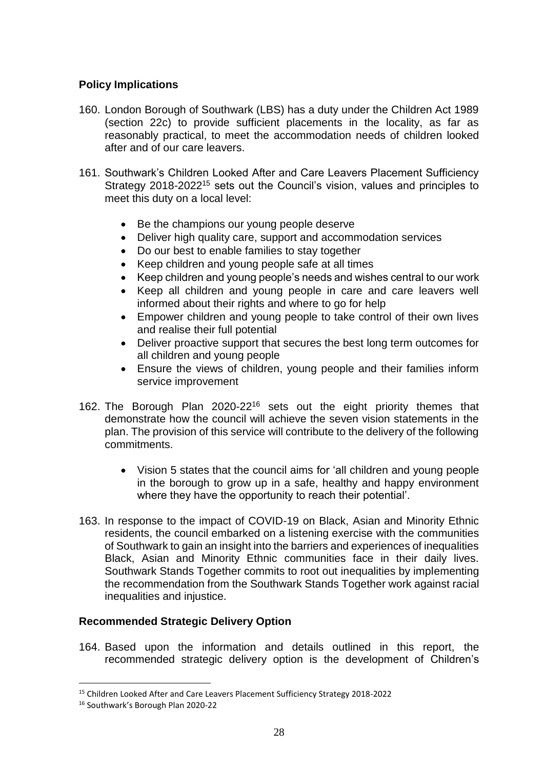### **Policy Implications**

- 160. London Borough of Southwark (LBS) has a duty under the Children Act 1989 (section 22c) to provide sufficient placements in the locality, as far as reasonably practical, to meet the accommodation needs of children looked after and of our care leavers.
- 161. Southwark's Children Looked After and Care Leavers Placement Sufficiency Strategy 2018-2022<sup>15</sup> sets out the Council's vision, values and principles to meet this duty on a local level:
	- Be the champions our young people deserve
	- Deliver high quality care, support and accommodation services
	- Do our best to enable families to stay together
	- Keep children and young people safe at all times
	- Keep children and young people's needs and wishes central to our work
	- Keep all children and young people in care and care leavers well informed about their rights and where to go for help
	- Empower children and young people to take control of their own lives and realise their full potential
	- Deliver proactive support that secures the best long term outcomes for all children and young people
	- Ensure the views of children, young people and their families inform service improvement
- 162. The Borough Plan 2020-22<sup>16</sup> sets out the eight priority themes that demonstrate how the council will achieve the seven vision statements in the plan. The provision of this service will contribute to the delivery of the following commitments.
	- Vision 5 states that the council aims for 'all children and young people in the borough to grow up in a safe, healthy and happy environment where they have the opportunity to reach their potential'.
- 163. In response to the impact of COVID-19 on Black, Asian and Minority Ethnic residents, the council embarked on a listening exercise with the communities of Southwark to gain an insight into the barriers and experiences of inequalities Black, Asian and Minority Ethnic communities face in their daily lives. Southwark Stands Together commits to root out inequalities by implementing the recommendation from the Southwark Stands Together work against racial inequalities and injustice.

### **Recommended Strategic Delivery Option**

164. Based upon the information and details outlined in this report, the recommended strategic delivery option is the development of Children's

<sup>15</sup> Children Looked After and Care Leavers Placement Sufficiency Strategy 2018-2022

<sup>16</sup> Southwark's Borough Plan 2020-22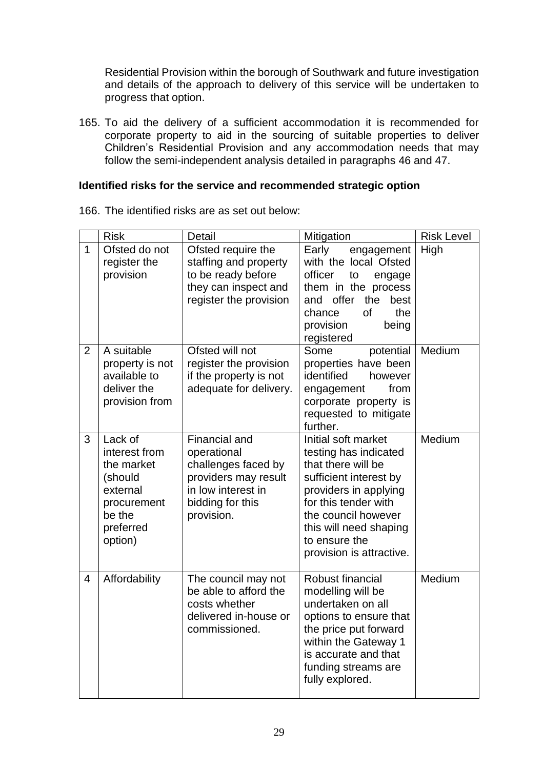Residential Provision within the borough of Southwark and future investigation and details of the approach to delivery of this service will be undertaken to progress that option.

165. To aid the delivery of a sufficient accommodation it is recommended for corporate property to aid in the sourcing of suitable properties to deliver Children's Residential Provision and any accommodation needs that may follow the semi-independent analysis detailed in paragraphs 46 and 47.

### **Identified risks for the service and recommended strategic option**

|                | <b>Risk</b>                                                                                                    | Detail                                                                                                                                     | Mitigation                                                                                                                                                                                                                                  | <b>Risk Level</b> |
|----------------|----------------------------------------------------------------------------------------------------------------|--------------------------------------------------------------------------------------------------------------------------------------------|---------------------------------------------------------------------------------------------------------------------------------------------------------------------------------------------------------------------------------------------|-------------------|
| $\mathbf{1}$   | Ofsted do not<br>register the<br>provision                                                                     | Ofsted require the<br>staffing and property<br>to be ready before<br>they can inspect and<br>register the provision                        | Early<br>engagement<br>with the local Ofsted<br>officer<br>to<br>engage<br>them in the process<br>and offer<br>the<br>best<br>of<br>chance<br>the<br>provision<br>being<br>registered                                                       | High              |
| 2              | A suitable<br>property is not<br>available to<br>deliver the<br>provision from                                 | Ofsted will not<br>register the provision<br>if the property is not<br>adequate for delivery.                                              | Some<br>potential<br>properties have been<br>identified<br>however<br>from<br>engagement<br>corporate property is<br>requested to mitigate<br>further.                                                                                      | Medium            |
| 3              | Lack of<br>interest from<br>the market<br>(should<br>external<br>procurement<br>be the<br>preferred<br>option) | <b>Financial and</b><br>operational<br>challenges faced by<br>providers may result<br>in low interest in<br>bidding for this<br>provision. | Initial soft market<br>testing has indicated<br>that there will be<br>sufficient interest by<br>providers in applying<br>for this tender with<br>the council however<br>this will need shaping<br>to ensure the<br>provision is attractive. | Medium            |
| $\overline{4}$ | Affordability                                                                                                  | The council may not<br>be able to afford the<br>costs whether<br>delivered in-house or<br>commissioned.                                    | Robust financial<br>modelling will be<br>undertaken on all<br>options to ensure that<br>the price put forward<br>within the Gateway 1<br>is accurate and that<br>funding streams are<br>fully explored.                                     | Medium            |

166. The identified risks are as set out below: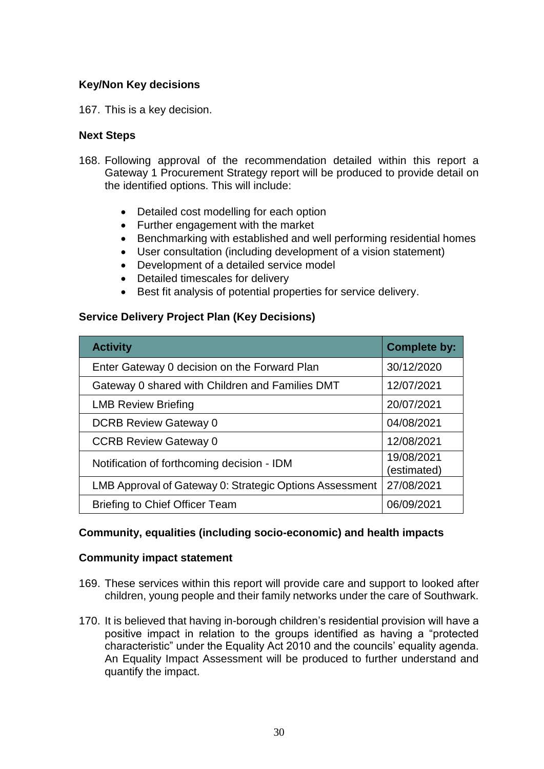### **Key/Non Key decisions**

167. This is a key decision.

### **Next Steps**

- 168. Following approval of the recommendation detailed within this report a Gateway 1 Procurement Strategy report will be produced to provide detail on the identified options. This will include:
	- Detailed cost modelling for each option
	- Further engagement with the market
	- Benchmarking with established and well performing residential homes
	- User consultation (including development of a vision statement)
	- Development of a detailed service model
	- Detailed timescales for delivery
	- Best fit analysis of potential properties for service delivery.

### **Service Delivery Project Plan (Key Decisions)**

| <b>Activity</b>                                         | <b>Complete by:</b>       |
|---------------------------------------------------------|---------------------------|
| Enter Gateway 0 decision on the Forward Plan            | 30/12/2020                |
| Gateway 0 shared with Children and Families DMT         | 12/07/2021                |
| <b>LMB Review Briefing</b>                              | 20/07/2021                |
| <b>DCRB Review Gateway 0</b>                            | 04/08/2021                |
| <b>CCRB Review Gateway 0</b>                            | 12/08/2021                |
| Notification of forthcoming decision - IDM              | 19/08/2021<br>(estimated) |
| LMB Approval of Gateway 0: Strategic Options Assessment | 27/08/2021                |
| <b>Briefing to Chief Officer Team</b>                   | 06/09/2021                |

### **Community, equalities (including socio-economic) and health impacts**

### **Community impact statement**

- 169. These services within this report will provide care and support to looked after children, young people and their family networks under the care of Southwark.
- 170. It is believed that having in-borough children's residential provision will have a positive impact in relation to the groups identified as having a "protected characteristic" under the Equality Act 2010 and the councils' equality agenda. An Equality Impact Assessment will be produced to further understand and quantify the impact.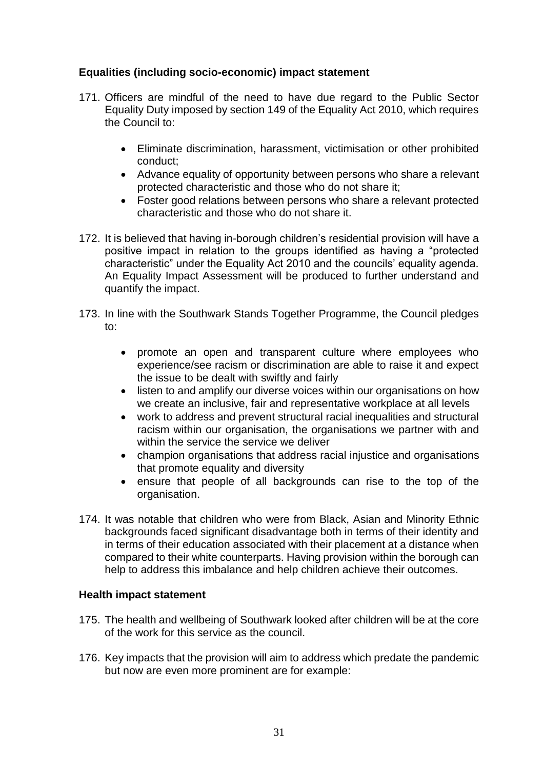### **Equalities (including socio-economic) impact statement**

- 171. Officers are mindful of the need to have due regard to the Public Sector Equality Duty imposed by section 149 of the Equality Act 2010, which requires the Council to:
	- Eliminate discrimination, harassment, victimisation or other prohibited conduct;
	- Advance equality of opportunity between persons who share a relevant protected characteristic and those who do not share it;
	- Foster good relations between persons who share a relevant protected characteristic and those who do not share it.
- 172. It is believed that having in-borough children's residential provision will have a positive impact in relation to the groups identified as having a "protected characteristic" under the Equality Act 2010 and the councils' equality agenda. An Equality Impact Assessment will be produced to further understand and quantify the impact.
- 173. In line with the Southwark Stands Together Programme, the Council pledges to:
	- promote an open and transparent culture where employees who experience/see racism or discrimination are able to raise it and expect the issue to be dealt with swiftly and fairly
	- listen to and amplify our diverse voices within our organisations on how we create an inclusive, fair and representative workplace at all levels
	- work to address and prevent structural racial inequalities and structural racism within our organisation, the organisations we partner with and within the service the service we deliver
	- champion organisations that address racial injustice and organisations that promote equality and diversity
	- ensure that people of all backgrounds can rise to the top of the organisation.
- 174. It was notable that children who were from Black, Asian and Minority Ethnic backgrounds faced significant disadvantage both in terms of their identity and in terms of their education associated with their placement at a distance when compared to their white counterparts. Having provision within the borough can help to address this imbalance and help children achieve their outcomes.

### **Health impact statement**

- 175. The health and wellbeing of Southwark looked after children will be at the core of the work for this service as the council.
- 176. Key impacts that the provision will aim to address which predate the pandemic but now are even more prominent are for example: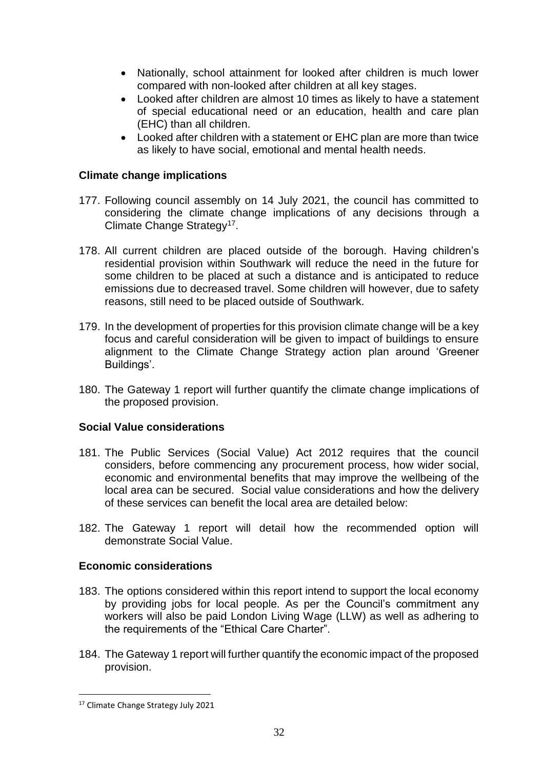- Nationally, school attainment for looked after children is much lower compared with non-looked after children at all key stages.
- Looked after children are almost 10 times as likely to have a statement of special educational need or an education, health and care plan (EHC) than all children.
- Looked after children with a statement or EHC plan are more than twice as likely to have social, emotional and mental health needs.

### **Climate change implications**

- 177. Following council assembly on 14 July 2021, the council has committed to considering the climate change implications of any decisions through a Climate Change Strategy<sup>17</sup>.
- 178. All current children are placed outside of the borough. Having children's residential provision within Southwark will reduce the need in the future for some children to be placed at such a distance and is anticipated to reduce emissions due to decreased travel. Some children will however, due to safety reasons, still need to be placed outside of Southwark.
- 179. In the development of properties for this provision climate change will be a key focus and careful consideration will be given to impact of buildings to ensure alignment to the Climate Change Strategy action plan around 'Greener Buildings'.
- 180. The Gateway 1 report will further quantify the climate change implications of the proposed provision.

### **Social Value considerations**

- 181. The Public Services (Social Value) Act 2012 requires that the council considers, before commencing any procurement process, how wider social, economic and environmental benefits that may improve the wellbeing of the local area can be secured. Social value considerations and how the delivery of these services can benefit the local area are detailed below:
- 182. The Gateway 1 report will detail how the recommended option will demonstrate Social Value.

### **Economic considerations**

- 183. The options considered within this report intend to support the local economy by providing jobs for local people. As per the Council's commitment any workers will also be paid London Living Wage (LLW) as well as adhering to the requirements of the "Ethical Care Charter".
- 184. The Gateway 1 report will further quantify the economic impact of the proposed provision.

<sup>17</sup> Climate Change Strategy July 2021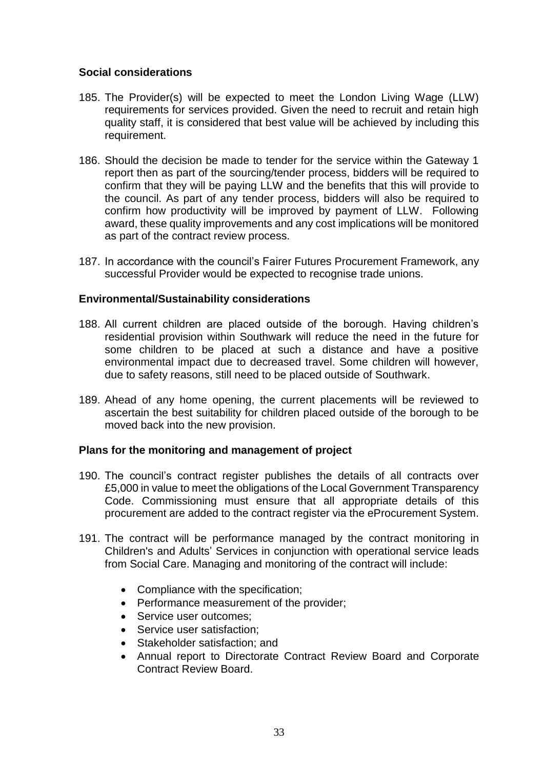### **Social considerations**

- 185. The Provider(s) will be expected to meet the London Living Wage (LLW) requirements for services provided. Given the need to recruit and retain high quality staff, it is considered that best value will be achieved by including this requirement.
- 186. Should the decision be made to tender for the service within the Gateway 1 report then as part of the sourcing/tender process, bidders will be required to confirm that they will be paying LLW and the benefits that this will provide to the council. As part of any tender process, bidders will also be required to confirm how productivity will be improved by payment of LLW. Following award, these quality improvements and any cost implications will be monitored as part of the contract review process.
- 187. In accordance with the council's Fairer Futures Procurement Framework, any successful Provider would be expected to recognise trade unions.

### **Environmental/Sustainability considerations**

- 188. All current children are placed outside of the borough. Having children's residential provision within Southwark will reduce the need in the future for some children to be placed at such a distance and have a positive environmental impact due to decreased travel. Some children will however, due to safety reasons, still need to be placed outside of Southwark.
- 189. Ahead of any home opening, the current placements will be reviewed to ascertain the best suitability for children placed outside of the borough to be moved back into the new provision.

### **Plans for the monitoring and management of project**

- 190. The council's contract register publishes the details of all contracts over £5,000 in value to meet the obligations of the Local Government Transparency Code. Commissioning must ensure that all appropriate details of this procurement are added to the contract register via the eProcurement System.
- 191. The contract will be performance managed by the contract monitoring in Children's and Adults' Services in conjunction with operational service leads from Social Care. Managing and monitoring of the contract will include:
	- Compliance with the specification;
	- Performance measurement of the provider;
	- Service user outcomes:
	- Service user satisfaction:
	- Stakeholder satisfaction; and
	- Annual report to Directorate Contract Review Board and Corporate Contract Review Board.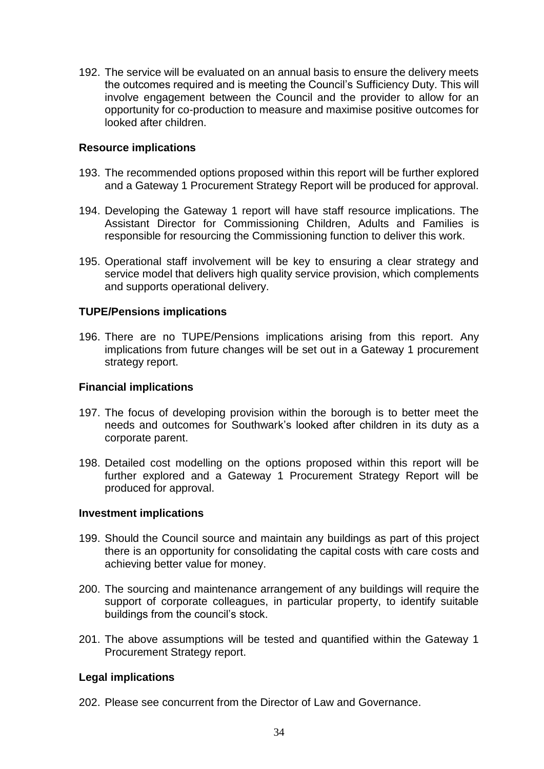192. The service will be evaluated on an annual basis to ensure the delivery meets the outcomes required and is meeting the Council's Sufficiency Duty. This will involve engagement between the Council and the provider to allow for an opportunity for co-production to measure and maximise positive outcomes for looked after children.

#### **Resource implications**

- 193. The recommended options proposed within this report will be further explored and a Gateway 1 Procurement Strategy Report will be produced for approval.
- 194. Developing the Gateway 1 report will have staff resource implications. The Assistant Director for Commissioning Children, Adults and Families is responsible for resourcing the Commissioning function to deliver this work.
- 195. Operational staff involvement will be key to ensuring a clear strategy and service model that delivers high quality service provision, which complements and supports operational delivery.

#### **TUPE/Pensions implications**

196. There are no TUPE/Pensions implications arising from this report. Any implications from future changes will be set out in a Gateway 1 procurement strategy report.

#### **Financial implications**

- 197. The focus of developing provision within the borough is to better meet the needs and outcomes for Southwark's looked after children in its duty as a corporate parent.
- 198. Detailed cost modelling on the options proposed within this report will be further explored and a Gateway 1 Procurement Strategy Report will be produced for approval.

#### **Investment implications**

- 199. Should the Council source and maintain any buildings as part of this project there is an opportunity for consolidating the capital costs with care costs and achieving better value for money.
- 200. The sourcing and maintenance arrangement of any buildings will require the support of corporate colleagues, in particular property, to identify suitable buildings from the council's stock.
- 201. The above assumptions will be tested and quantified within the Gateway 1 Procurement Strategy report.

#### **Legal implications**

202. Please see concurrent from the Director of Law and Governance.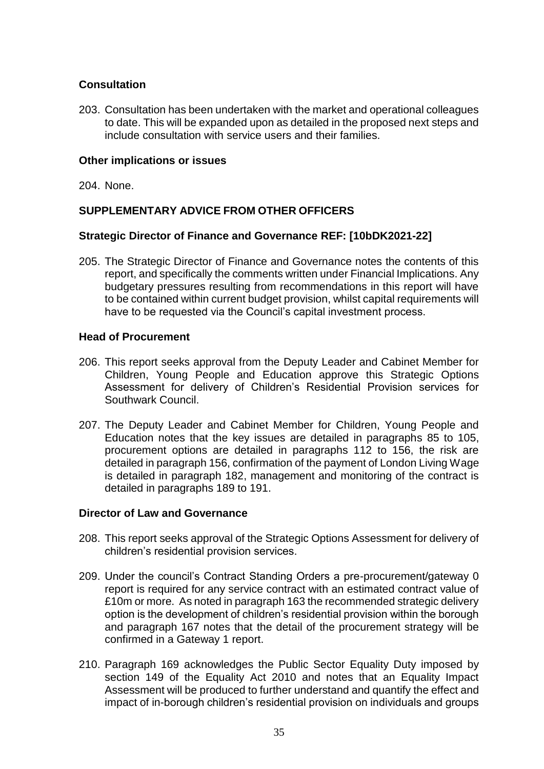### **Consultation**

203. Consultation has been undertaken with the market and operational colleagues to date. This will be expanded upon as detailed in the proposed next steps and include consultation with service users and their families.

#### **Other implications or issues**

204. None.

### **SUPPLEMENTARY ADVICE FROM OTHER OFFICERS**

### **Strategic Director of Finance and Governance REF: [10bDK2021-22]**

205. The Strategic Director of Finance and Governance notes the contents of this report, and specifically the comments written under Financial Implications. Any budgetary pressures resulting from recommendations in this report will have to be contained within current budget provision, whilst capital requirements will have to be requested via the Council's capital investment process.

### **Head of Procurement**

- 206. This report seeks approval from the Deputy Leader and Cabinet Member for Children, Young People and Education approve this Strategic Options Assessment for delivery of Children's Residential Provision services for Southwark Council.
- 207. The Deputy Leader and Cabinet Member for Children, Young People and Education notes that the key issues are detailed in paragraphs 85 to 105, procurement options are detailed in paragraphs 112 to 156, the risk are detailed in paragraph 156, confirmation of the payment of London Living Wage is detailed in paragraph 182, management and monitoring of the contract is detailed in paragraphs 189 to 191.

### **Director of Law and Governance**

- 208. This report seeks approval of the Strategic Options Assessment for delivery of children's residential provision services.
- 209. Under the council's Contract Standing Orders a pre-procurement/gateway 0 report is required for any service contract with an estimated contract value of £10m or more. As noted in paragraph 163 the recommended strategic delivery option is the development of children's residential provision within the borough and paragraph 167 notes that the detail of the procurement strategy will be confirmed in a Gateway 1 report.
- 210. Paragraph 169 acknowledges the Public Sector Equality Duty imposed by section 149 of the Equality Act 2010 and notes that an Equality Impact Assessment will be produced to further understand and quantify the effect and impact of in-borough children's residential provision on individuals and groups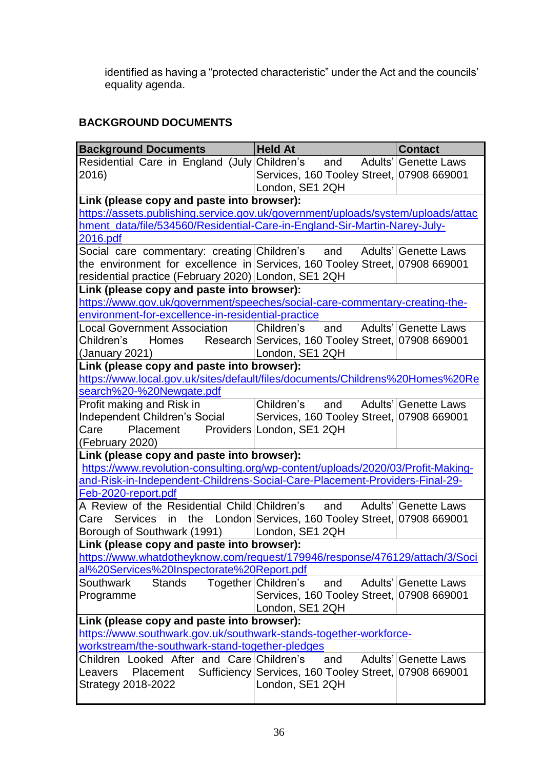identified as having a "protected characteristic" under the Act and the councils' equality agenda.

# **BACKGROUND DOCUMENTS**

| <b>Background Documents</b>                                                                 | <b>Held At</b>                                        | <b>Contact</b>              |
|---------------------------------------------------------------------------------------------|-------------------------------------------------------|-----------------------------|
| Residential Care in England (July Children's                                                | and Adults' Genette Laws                              |                             |
| 2016)                                                                                       | Services, 160 Tooley Street, 07908 669001             |                             |
|                                                                                             | London, SE1 2QH                                       |                             |
| Link (please copy and paste into browser):                                                  |                                                       |                             |
| https://assets.publishing.service.gov.uk/government/uploads/system/uploads/attac            |                                                       |                             |
| hment_data/file/534560/Residential-Care-in-England-Sir-Martin-Narey-July-                   |                                                       |                             |
| <u>2016.pdf</u>                                                                             |                                                       |                             |
| Social care commentary: creating Children's                                                 | and                                                   | Adults' Genette Laws        |
| the environment for excellence in Services, 160 Tooley Street, 07908 669001                 |                                                       |                             |
| residential practice (February 2020) London, SE1 2QH                                        |                                                       |                             |
| Link (please copy and paste into browser):                                                  |                                                       |                             |
| https://www.gov.uk/government/speeches/social-care-commentary-creating-the-                 |                                                       |                             |
| environment-for-excellence-in-residential-practice                                          |                                                       |                             |
| <b>Local Government Association</b>                                                         | Children's and                                        | Adults' Genette Laws        |
| Children's Homes Research Services, 160 Tooley Street, 07908 669001                         |                                                       |                             |
| (January 2021)                                                                              | London, SE1 2QH                                       |                             |
| Link (please copy and paste into browser):                                                  |                                                       |                             |
| https://www.local.gov.uk/sites/default/files/documents/Childrens%20Homes%20Re               |                                                       |                             |
| search%20-%20Newgate.pdf                                                                    |                                                       |                             |
| Profit making and Risk in                                                                   | Children's<br>and                                     | Adults' Genette Laws        |
| Independent Children's Social                                                               | Services, 160 Tooley Street, 07908 669001             |                             |
| Care<br>Placement                                                                           | Providers London, SE1 2QH                             |                             |
| (February 2020)                                                                             |                                                       |                             |
| Link (please copy and paste into browser):                                                  |                                                       |                             |
| https://www.revolution-consulting.org/wp-content/uploads/2020/03/Profit-Making-             |                                                       |                             |
| and-Risk-in-Independent-Childrens-Social-Care-Placement-Providers-Final-29-                 |                                                       |                             |
| Feb-2020-report.pdf                                                                         |                                                       |                             |
| A Review of the Residential Child Children's                                                | and                                                   | <b>Adults' Genette Laws</b> |
| <b>Services</b><br>in<br>Care                                                               | the London Services, 160 Tooley Street, 07908 669001  |                             |
| Borough of Southwark (1991)   London, SE1 2QH<br>Link (please copy and paste into browser): |                                                       |                             |
| https://www.whatdotheyknow.com/request/179946/response/476129/attach/3/Soci                 |                                                       |                             |
| al%20Services%20Inspectorate%20Report.pdf                                                   |                                                       |                             |
| <b>Stands</b><br>Southwark                                                                  | Together Children's<br>and                            | Adults' Genette Laws        |
| Programme                                                                                   | Services, 160 Tooley Street, 07908 669001             |                             |
|                                                                                             | London, SE1 2QH                                       |                             |
| Link (please copy and paste into browser):                                                  |                                                       |                             |
| https://www.southwark.gov.uk/southwark-stands-together-workforce-                           |                                                       |                             |
| workstream/the-southwark-stand-together-pledges                                             |                                                       |                             |
| Children Looked After and Care Children's                                                   | and                                                   | <b>Adults' Genette Laws</b> |
| Placement<br>Leavers                                                                        | Sufficiency Services, 160 Tooley Street, 07908 669001 |                             |
| <b>Strategy 2018-2022</b>                                                                   | London, SE1 2QH                                       |                             |
|                                                                                             |                                                       |                             |